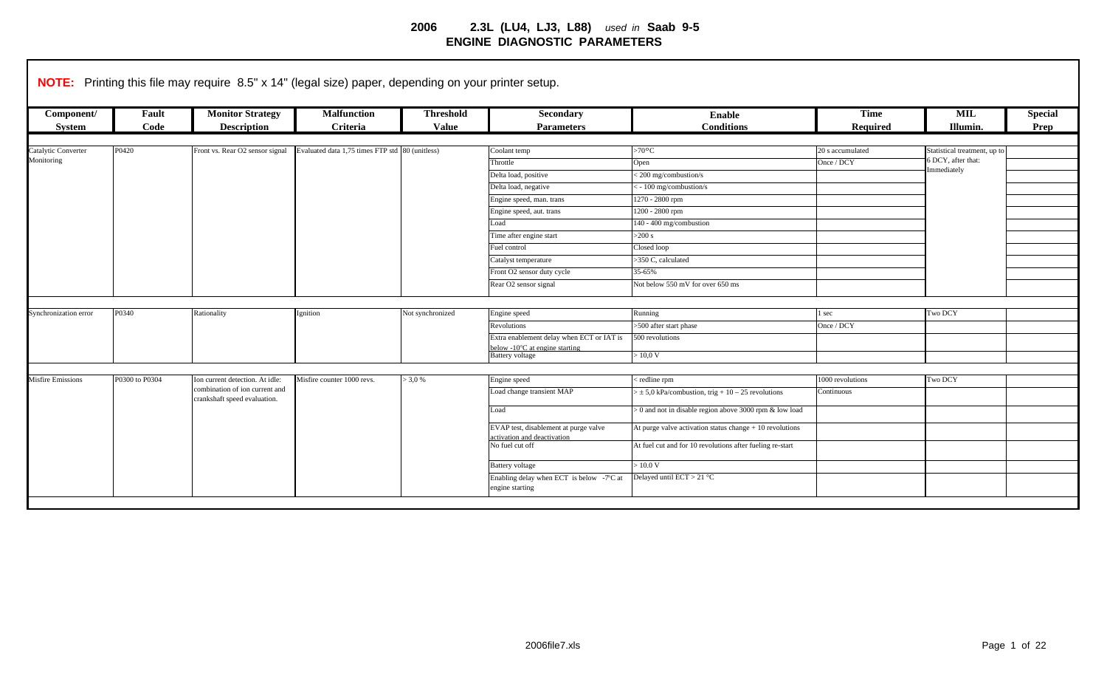| Component/<br>System     | Fault<br>Code  | <b>Monitor Strategy</b><br><b>Description</b>                  | <b>Malfunction</b><br>Criteria                  | <b>Threshold</b><br><b>Value</b> | Secondary<br><b>Parameters</b>                              | <b>Enable</b><br><b>Conditions</b>                        | <b>Time</b><br>Required | <b>MIL</b><br>Illumin.       | <b>Special</b><br>Prep |
|--------------------------|----------------|----------------------------------------------------------------|-------------------------------------------------|----------------------------------|-------------------------------------------------------------|-----------------------------------------------------------|-------------------------|------------------------------|------------------------|
|                          |                |                                                                |                                                 |                                  |                                                             |                                                           |                         |                              |                        |
| Catalytic Converter      | P0420          | Front vs. Rear O2 sensor signal                                | Evaluated data 1,75 times FTP std 80 (unitless) |                                  | Coolant temp                                                | >70°C                                                     | 20 s accumulated        | Statistical treatment, up to |                        |
| Monitoring               |                |                                                                |                                                 |                                  | Throttle                                                    | Open                                                      | Once / DCY              | 6 DCY, after that:           |                        |
|                          |                |                                                                |                                                 |                                  | Delta load, positive                                        | <200 mg/combustion/s                                      |                         | Immediately                  |                        |
|                          |                |                                                                |                                                 |                                  | Delta load, negative                                        | <- 100 mg/combustion/s                                    |                         |                              |                        |
|                          |                |                                                                |                                                 |                                  | Engine speed, man. trans                                    | 1270 - 2800 rpm                                           |                         |                              |                        |
|                          |                |                                                                |                                                 |                                  | Engine speed, aut. trans                                    | 1200 - 2800 rpm                                           |                         |                              |                        |
|                          |                |                                                                |                                                 |                                  | Load                                                        | 140 - 400 mg/combustion                                   |                         |                              |                        |
|                          |                |                                                                |                                                 |                                  | Time after engine start                                     | $>200$ s                                                  |                         |                              |                        |
|                          |                |                                                                |                                                 |                                  | Fuel control                                                | Closed loop                                               |                         |                              |                        |
|                          |                |                                                                |                                                 |                                  | Catalyst temperature                                        | >350 C, calculated                                        |                         |                              |                        |
|                          |                |                                                                |                                                 |                                  | Front O2 sensor duty cycle                                  | 35-65%                                                    |                         |                              |                        |
|                          |                |                                                                |                                                 |                                  | Rear O2 sensor signal                                       | Not below 550 mV for over 650 ms                          |                         |                              |                        |
|                          |                |                                                                |                                                 |                                  |                                                             |                                                           |                         |                              |                        |
| Synchronization error    | P0340          | Rationality                                                    | Ignition                                        | Not synchronized                 | Engine speed                                                | Running                                                   | l sec                   | Two DCY                      |                        |
|                          |                |                                                                |                                                 |                                  | <b>Revolutions</b>                                          | >500 after start phase                                    | Once / DCY              |                              |                        |
|                          |                |                                                                |                                                 |                                  | Extra enablement delay when ECT or IAT is                   | 500 revolutions                                           |                         |                              |                        |
|                          |                |                                                                |                                                 |                                  | below -10°C at engine starting<br><b>Battery</b> voltage    | $> 10,0 \text{ V}$                                        |                         |                              |                        |
|                          |                |                                                                |                                                 |                                  |                                                             |                                                           |                         |                              |                        |
| <b>Misfire Emissions</b> | P0300 to P0304 | Ion current detection. At idle:                                | Misfire counter 1000 revs.                      | $> 3.0 \%$                       | Engine speed                                                | redline rpm                                               | 000 revolutions         | Two DCY                      |                        |
|                          |                | combination of ion current and<br>crankshaft speed evaluation. |                                                 |                                  | Load change transient MAP                                   | $> \pm 5.0$ kPa/combustion, trig + 10 – 25 revolutions    | Continuous              |                              |                        |
|                          |                |                                                                |                                                 |                                  | Load                                                        | > 0 and not in disable region above 3000 rpm & low load   |                         |                              |                        |
|                          |                |                                                                |                                                 |                                  | EVAP test, disablement at purge valve                       | At purge valve activation status change $+10$ revolutions |                         |                              |                        |
|                          |                |                                                                |                                                 |                                  | activation and deactivation<br>No fuel cut off              | At fuel cut and for 10 revolutions after fueling re-start |                         |                              |                        |
|                          |                |                                                                |                                                 |                                  | <b>Battery</b> voltage                                      | $\sim 10.0 V$                                             |                         |                              |                        |
|                          |                |                                                                |                                                 |                                  | Enabling delay when ECT is below -7°C at<br>engine starting | Delayed until ECT > 21 °C                                 |                         |                              |                        |
|                          |                |                                                                |                                                 |                                  |                                                             |                                                           |                         |                              |                        |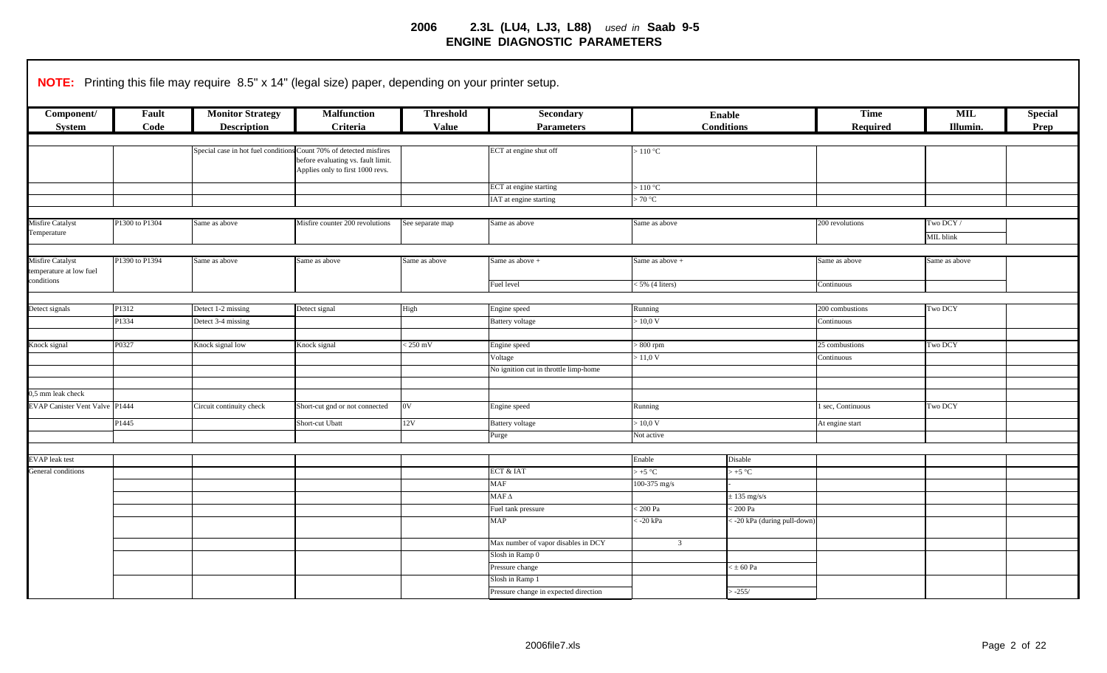|                                                           |                | NOTE: Printing this file may require 8.5" x 14" (legal size) paper, depending on your printer setup. |                                                                                                                                              |                                  |                                       |                            |                                    |                         |                        |                        |
|-----------------------------------------------------------|----------------|------------------------------------------------------------------------------------------------------|----------------------------------------------------------------------------------------------------------------------------------------------|----------------------------------|---------------------------------------|----------------------------|------------------------------------|-------------------------|------------------------|------------------------|
| Component/<br><b>System</b>                               | Fault<br>Code  | <b>Monitor Strategy</b><br><b>Description</b>                                                        | <b>Malfunction</b><br>Criteria                                                                                                               | <b>Threshold</b><br><b>Value</b> | Secondary<br><b>Parameters</b>        |                            | <b>Enable</b><br><b>Conditions</b> | <b>Time</b><br>Required | <b>MIL</b><br>Illumin. | <b>Special</b><br>Prep |
|                                                           |                |                                                                                                      |                                                                                                                                              |                                  |                                       |                            |                                    |                         |                        |                        |
|                                                           |                |                                                                                                      | Special case in hot fuel conditions Count 70% of detected misfires<br>before evaluating vs. fault limit.<br>Applies only to first 1000 revs. |                                  | ECT at engine shut off                | $>110\ ^{\circ}\mathrm{C}$ |                                    |                         |                        |                        |
|                                                           |                |                                                                                                      |                                                                                                                                              |                                  | ECT at engine starting                | >110 °C                    |                                    |                         |                        |                        |
|                                                           |                |                                                                                                      |                                                                                                                                              |                                  | IAT at engine starting                | >70 °C                     |                                    |                         |                        |                        |
|                                                           |                |                                                                                                      |                                                                                                                                              |                                  |                                       |                            |                                    |                         |                        |                        |
| Misfire Catalyst<br>Temperature                           | P1300 to P1304 | Same as above                                                                                        | Misfire counter 200 revolutions                                                                                                              | See separate map                 | Same as above                         | Same as above              |                                    | 200 revolutions         | Two DCY/<br>MIL blink  |                        |
|                                                           |                |                                                                                                      |                                                                                                                                              |                                  |                                       |                            |                                    |                         |                        |                        |
| Misfire Catalyst<br>temperature at low fuel<br>conditions | P1390 to P1394 | Same as above                                                                                        | Same as above                                                                                                                                | Same as above                    | Same as above +                       | Same as above +            |                                    | Same as above           | Same as above          |                        |
|                                                           |                |                                                                                                      |                                                                                                                                              |                                  | Fuel level                            | 5% (4 liters)              |                                    | Continuous              |                        |                        |
|                                                           |                |                                                                                                      |                                                                                                                                              |                                  |                                       |                            |                                    |                         |                        |                        |
| Detect signals                                            | P1312          | Detect 1-2 missing                                                                                   | Detect signal                                                                                                                                | High                             | Engine speed                          | Running                    |                                    | 200 combustions         | Two DCY                |                        |
|                                                           | P1334          | Detect 3-4 missing                                                                                   |                                                                                                                                              |                                  | <b>Battery voltage</b>                | 0.0 V                      |                                    | Continuous              |                        |                        |
|                                                           |                |                                                                                                      |                                                                                                                                              |                                  |                                       |                            |                                    |                         |                        |                        |
| Knock signal                                              | P0327          | Knock signal low                                                                                     | Knock signal                                                                                                                                 | $< 250$ mV                       | Engine speed                          | $800$ rpm                  |                                    | 25 combustions          | Two DCY                |                        |
|                                                           |                |                                                                                                      |                                                                                                                                              |                                  | Voltage                               | > 11,0 V                   |                                    | Continuous              |                        |                        |
|                                                           |                |                                                                                                      |                                                                                                                                              |                                  | No ignition cut in throttle limp-home |                            |                                    |                         |                        |                        |
|                                                           |                |                                                                                                      |                                                                                                                                              |                                  |                                       |                            |                                    |                         |                        |                        |
| 0,5 mm leak check                                         |                |                                                                                                      |                                                                                                                                              |                                  |                                       |                            |                                    |                         |                        |                        |
| <b>EVAP Canister Vent Valve P1444</b>                     |                | Circuit continuity check                                                                             | Short-cut gnd or not connected                                                                                                               | $_{0V}$                          | Engine speed                          | Running                    |                                    | 1 sec, Continuous       | Two DCY                |                        |
|                                                           | P1445          |                                                                                                      | Short-cut Ubatt                                                                                                                              | 12V                              | <b>Battery</b> voltage                | >10.0 V                    |                                    | At engine start         |                        |                        |
|                                                           |                |                                                                                                      |                                                                                                                                              |                                  | Purge                                 | Not active                 |                                    |                         |                        |                        |
|                                                           |                |                                                                                                      |                                                                                                                                              |                                  |                                       |                            |                                    |                         |                        |                        |
| EVAP leak test                                            |                |                                                                                                      |                                                                                                                                              |                                  |                                       | Enable                     | Disable                            |                         |                        |                        |
| General conditions                                        |                |                                                                                                      |                                                                                                                                              |                                  | ECT & IAT                             | $> +5$ °C                  | $> +5$ °C                          |                         |                        |                        |
|                                                           |                |                                                                                                      |                                                                                                                                              |                                  | <b>MAF</b>                            | 100-375 mg/s               |                                    |                         |                        |                        |
|                                                           |                |                                                                                                      |                                                                                                                                              |                                  | $\operatorname{MAF} \Delta$           |                            | $\pm$ 135 mg/s/s                   |                         |                        |                        |
|                                                           |                |                                                                                                      |                                                                                                                                              |                                  | Fuel tank pressure                    | $200\ \mathrm{Pa}$         | $< 200$ Pa                         |                         |                        |                        |
|                                                           |                |                                                                                                      |                                                                                                                                              |                                  | <b>MAP</b>                            | $-20$ kPa                  | -20 kPa (during pull-down)         |                         |                        |                        |
|                                                           |                |                                                                                                      |                                                                                                                                              |                                  | Max number of vapor disables in DCY   | $\overline{3}$             |                                    |                         |                        |                        |
|                                                           |                |                                                                                                      |                                                                                                                                              |                                  | Slosh in Ramp 0                       |                            |                                    |                         |                        |                        |
|                                                           |                |                                                                                                      |                                                                                                                                              |                                  | Pressure change                       |                            | $\times \pm 60$ Pa                 |                         |                        |                        |
|                                                           |                |                                                                                                      |                                                                                                                                              |                                  | Slosh in Ramp 1                       |                            |                                    |                         |                        |                        |
|                                                           |                |                                                                                                      |                                                                                                                                              |                                  | Pressure change in expected direction |                            | $-255/$                            |                         |                        |                        |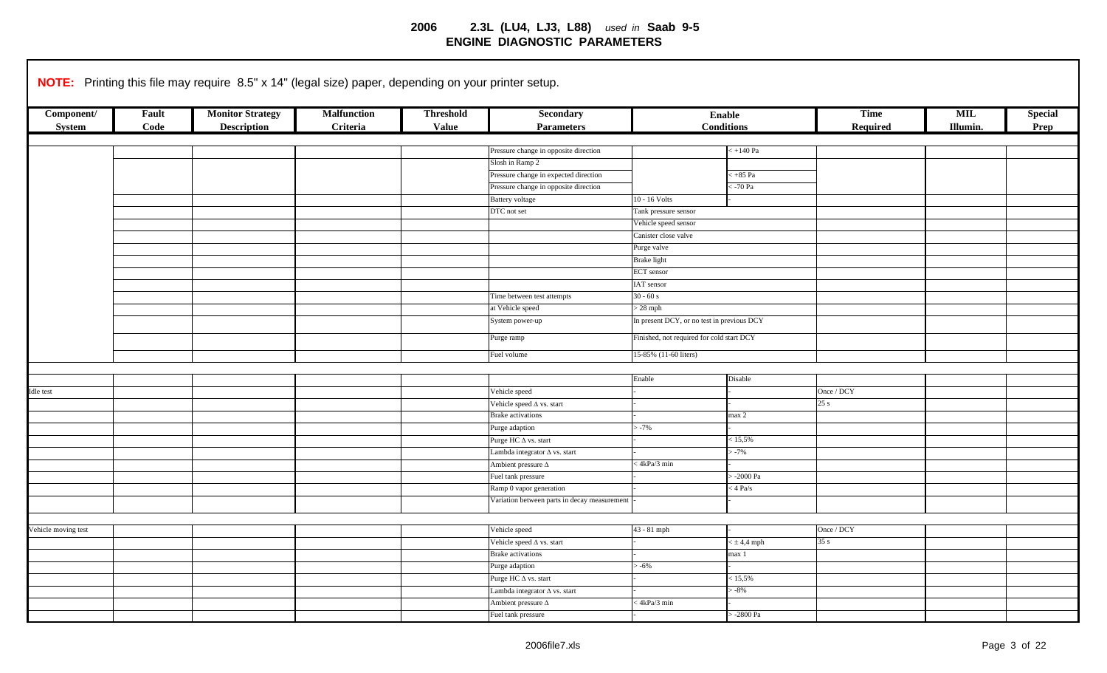|                     |       | <b>NOTE:</b> Printing this file may require 8.5" x 14" (legal size) paper, depending on your printer setup. |                    |                  |                                              |                                            |                      |             |                |                |
|---------------------|-------|-------------------------------------------------------------------------------------------------------------|--------------------|------------------|----------------------------------------------|--------------------------------------------|----------------------|-------------|----------------|----------------|
| Component/          | Fault | <b>Monitor Strategy</b>                                                                                     | <b>Malfunction</b> | <b>Threshold</b> | Secondary                                    |                                            | <b>Enable</b>        | <b>Time</b> | <b>MIL</b>     | <b>Special</b> |
| System              | Code  | <b>Description</b>                                                                                          | Criteria           | <b>Value</b>     | <b>Parameters</b>                            |                                            | <b>Conditions</b>    | Required    | <b>Illumin</b> | Prep           |
|                     |       |                                                                                                             |                    |                  |                                              |                                            |                      |             |                |                |
|                     |       |                                                                                                             |                    |                  | Pressure change in opposite direction        |                                            | $+140\ Pa$           |             |                |                |
|                     |       |                                                                                                             |                    |                  | Slosh in Ramp 2                              |                                            |                      |             |                |                |
|                     |       |                                                                                                             |                    |                  | Pressure change in expected direction        |                                            | $\leq +85$ Pa        |             |                |                |
|                     |       |                                                                                                             |                    |                  | Pressure change in opposite direction        |                                            | $-70$ Pa             |             |                |                |
|                     |       |                                                                                                             |                    |                  | <b>Battery</b> voltage                       | 10 - 16 Volts                              |                      |             |                |                |
|                     |       |                                                                                                             |                    |                  | DTC not set                                  | Tank pressure sensor                       |                      |             |                |                |
|                     |       |                                                                                                             |                    |                  |                                              | Vehicle speed sensor                       |                      |             |                |                |
|                     |       |                                                                                                             |                    |                  |                                              | Canister close valve                       |                      |             |                |                |
|                     |       |                                                                                                             |                    |                  |                                              | Purge valve                                |                      |             |                |                |
|                     |       |                                                                                                             |                    |                  |                                              | <b>Brake light</b>                         |                      |             |                |                |
|                     |       |                                                                                                             |                    |                  |                                              | <b>ECT</b> sensor                          |                      |             |                |                |
|                     |       |                                                                                                             |                    |                  |                                              | IAT sensor                                 |                      |             |                |                |
|                     |       |                                                                                                             |                    |                  | Time between test attempts                   | $30 - 60 s$                                |                      |             |                |                |
|                     |       |                                                                                                             |                    |                  | at Vehicle speed                             | $> 28$ mph                                 |                      |             |                |                |
|                     |       |                                                                                                             |                    |                  | System power-up                              | In present DCY, or no test in previous DCY |                      |             |                |                |
|                     |       |                                                                                                             |                    |                  | Purge ramp                                   | Finished, not required for cold start DCY  |                      |             |                |                |
|                     |       |                                                                                                             |                    |                  | Fuel volume                                  | 15-85% (11-60 liters)                      |                      |             |                |                |
|                     |       |                                                                                                             |                    |                  |                                              |                                            |                      |             |                |                |
|                     |       |                                                                                                             |                    |                  |                                              | Enable                                     | Disable              |             |                |                |
| Idle test           |       |                                                                                                             |                    |                  | Vehicle speed                                |                                            |                      | Once / DCY  |                |                |
|                     |       |                                                                                                             |                    |                  | Vehicle speed $\Delta$ vs. start             |                                            |                      | 25s         |                |                |
|                     |       |                                                                                                             |                    |                  | <b>Brake</b> activations                     |                                            | max 2                |             |                |                |
|                     |       |                                                                                                             |                    |                  | Purge adaption                               | $-7%$                                      |                      |             |                |                |
|                     |       |                                                                                                             |                    |                  | Purge HC $\Delta$ vs. start                  |                                            | < 15,5%              |             |                |                |
|                     |       |                                                                                                             |                    |                  | Lambda integrator ∆ vs. start                |                                            | $-7%$                |             |                |                |
|                     |       |                                                                                                             |                    |                  | Ambient pressure $\Delta$                    | $\leq 4kPa/3$ min                          |                      |             |                |                |
|                     |       |                                                                                                             |                    |                  | Fuel tank pressure                           |                                            | $-2000$ Pa           |             |                |                |
|                     |       |                                                                                                             |                    |                  | Ramp 0 vapor generation                      |                                            | $4$ Pa/s             |             |                |                |
|                     |       |                                                                                                             |                    |                  | Variation between parts in decay measurement |                                            |                      |             |                |                |
|                     |       |                                                                                                             |                    |                  |                                              |                                            |                      |             |                |                |
| Vehicle moving test |       |                                                                                                             |                    |                  | Vehicle speed                                | 43 - 81 mph                                |                      | Once / DCY  |                |                |
|                     |       |                                                                                                             |                    |                  | Vehicle speed $\Delta$ vs. start             |                                            | $<$ ± 4,4 mph        | 35s         |                |                |
|                     |       |                                                                                                             |                    |                  | <b>Brake</b> activations                     |                                            | max 1                |             |                |                |
|                     |       |                                                                                                             |                    |                  | Purge adaption                               | $-6%$                                      |                      |             |                |                |
|                     |       |                                                                                                             |                    |                  | Purge HC $\Delta$ vs. start                  |                                            | < 15,5%              |             |                |                |
|                     |       |                                                                                                             |                    |                  | Lambda integrator $\Delta$ vs. start         |                                            | $-8%$                |             |                |                |
|                     |       |                                                                                                             |                    |                  | Ambient pressure $\Delta$                    | <4kPa/3 min                                |                      |             |                |                |
|                     |       |                                                                                                             |                    |                  | Fuel tank pressure                           |                                            | $-2800\ \mathrm{Pa}$ |             |                |                |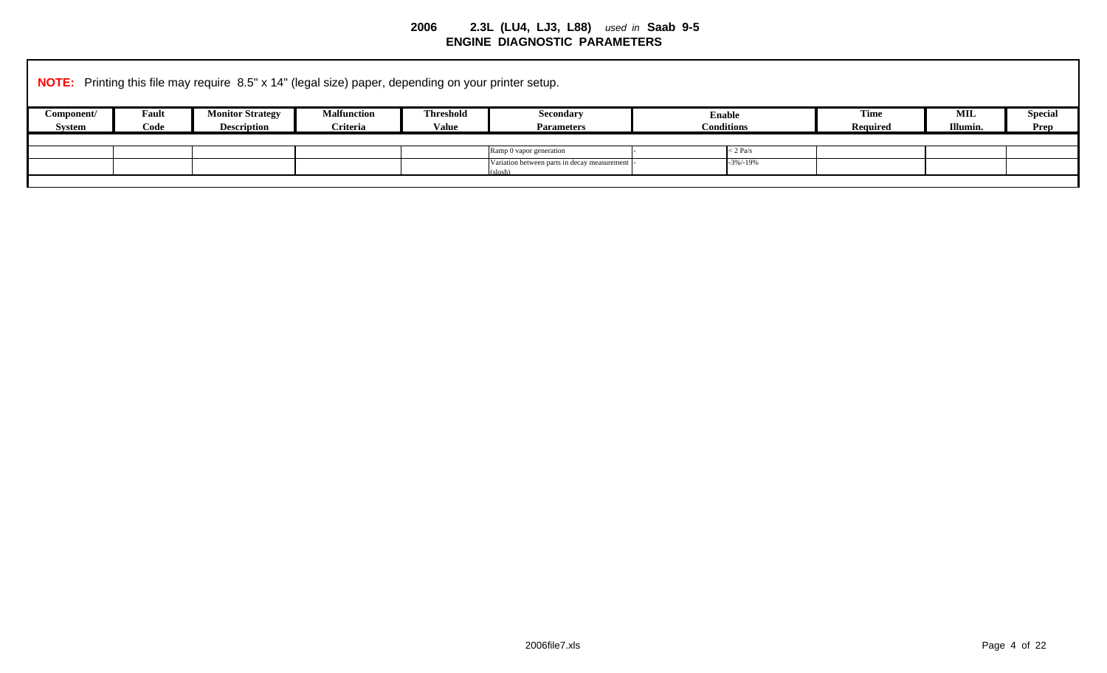|            |       |                         | <b>NOTE:</b> Printing this file may require 8.5" x 14" (legal size) paper, depending on your printer setup. |                  |                                                 |                   |                 |          |                |
|------------|-------|-------------------------|-------------------------------------------------------------------------------------------------------------|------------------|-------------------------------------------------|-------------------|-----------------|----------|----------------|
| Component/ | Fault | <b>Monitor Strategy</b> | <b>Malfunction</b>                                                                                          | <b>Threshold</b> | <b>Secondary</b>                                | <b>Enable</b>     | <b>Time</b>     | MIL      | <b>Special</b> |
| System     | Code  | <b>Description</b>      | Criteria                                                                                                    | Value            | <b>Parameters</b>                               | <b>Conditions</b> | <b>Required</b> | Illumin. | Prep           |
|            |       |                         |                                                                                                             |                  |                                                 |                   |                 |          |                |
|            |       |                         |                                                                                                             |                  | Ramp 0 vapor generation                         | $<$ 2 Pa/s        |                 |          |                |
|            |       |                         |                                                                                                             |                  | Variation between parts in decay measurement  - | $-3\%/-19\%$      |                 |          |                |
|            |       |                         |                                                                                                             |                  | $(s \log h)$                                    |                   |                 |          |                |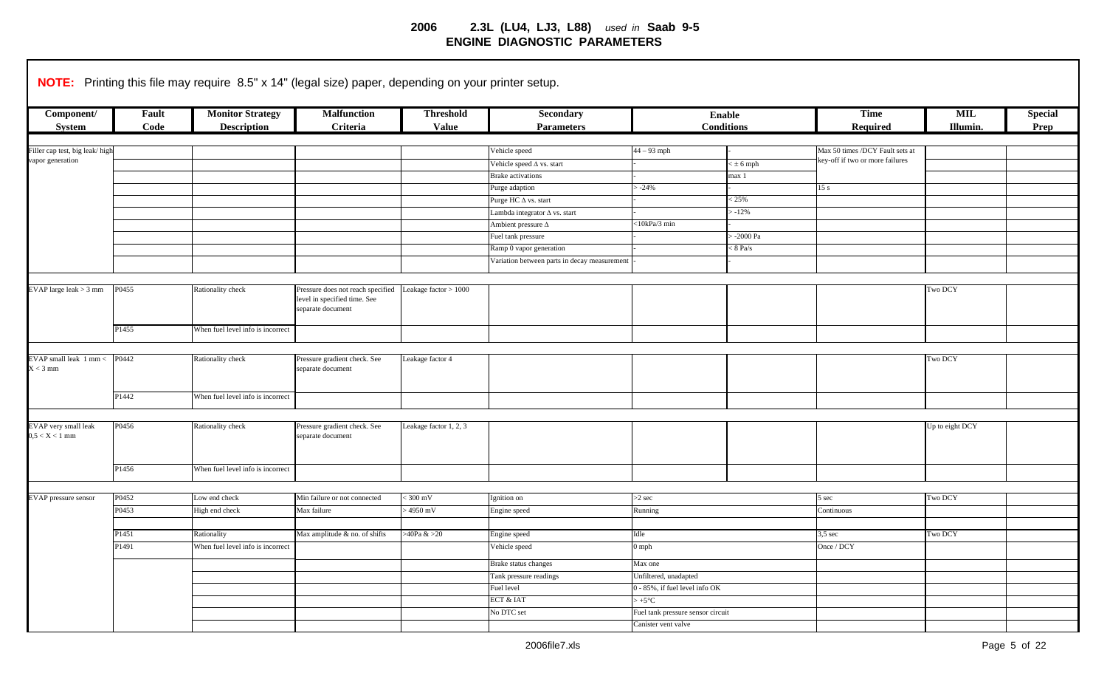|                                          |                   | NOTE: Printing this file may require 8.5" x 14" (legal size) paper, depending on your printer setup. |                                                                                        |                                  |                                                              |                                   |                                    |                                 |                 |                        |
|------------------------------------------|-------------------|------------------------------------------------------------------------------------------------------|----------------------------------------------------------------------------------------|----------------------------------|--------------------------------------------------------------|-----------------------------------|------------------------------------|---------------------------------|-----------------|------------------------|
| Component/<br>System                     | Fault<br>Code     | <b>Monitor Strategy</b><br><b>Description</b>                                                        | <b>Malfunction</b><br>Criteria                                                         | <b>Threshold</b><br><b>Value</b> | Secondary<br><b>Parameters</b>                               |                                   | <b>Enable</b><br><b>Conditions</b> | <b>Time</b><br>Required         | MIL<br>Illumin. | <b>Special</b><br>Prep |
| Filler cap test, big leak/high           |                   |                                                                                                      |                                                                                        |                                  | Vehicle speed                                                | $44 - 93$ mph                     |                                    | Max 50 times /DCY Fault sets at |                 |                        |
| vapor generation                         |                   |                                                                                                      |                                                                                        |                                  |                                                              |                                   |                                    | key-off if two or more failures |                 |                        |
|                                          |                   |                                                                                                      |                                                                                        |                                  | Vehicle speed $\Delta$ vs. start<br><b>Brake</b> activations |                                   | $<$ $\pm$ 6 mph<br>max 1           |                                 |                 |                        |
|                                          |                   |                                                                                                      |                                                                                        |                                  | Purge adaption                                               | $-24%$                            |                                    | 15 <sub>s</sub>                 |                 |                        |
|                                          |                   |                                                                                                      |                                                                                        |                                  | Purge HC $\Delta$ vs. start                                  |                                   | 25%                                |                                 |                 |                        |
|                                          |                   |                                                                                                      |                                                                                        |                                  | Lambda integrator $\Delta$ vs. start                         |                                   | $> -12\%$                          |                                 |                 |                        |
|                                          |                   |                                                                                                      |                                                                                        |                                  | Ambient pressure $\Delta$                                    | $<$ 10kPa/3 min                   |                                    |                                 |                 |                        |
|                                          |                   |                                                                                                      |                                                                                        |                                  | Fuel tank pressure                                           |                                   | $-2000$ Pa                         |                                 |                 |                        |
|                                          |                   |                                                                                                      |                                                                                        |                                  | Ramp 0 vapor generation                                      |                                   | $< 8$ Pa/s                         |                                 |                 |                        |
|                                          |                   |                                                                                                      |                                                                                        |                                  | Variation between parts in decay measurement                 |                                   |                                    |                                 |                 |                        |
|                                          |                   |                                                                                                      |                                                                                        |                                  |                                                              |                                   |                                    |                                 |                 |                        |
|                                          |                   |                                                                                                      |                                                                                        |                                  |                                                              |                                   |                                    |                                 |                 |                        |
| EVAP large leak > 3 mm                   | P0455             | Rationality check                                                                                    | Pressure does not reach specified<br>level in specified time. See<br>separate document | Leakage factor $> 1000$          |                                                              |                                   |                                    |                                 | Two DCY         |                        |
|                                          | P <sub>1455</sub> | When fuel level info is incorrect                                                                    |                                                                                        |                                  |                                                              |                                   |                                    |                                 |                 |                        |
|                                          |                   |                                                                                                      |                                                                                        |                                  |                                                              |                                   |                                    |                                 |                 |                        |
| EVAP small leak 1 mm <                   | P0442             | Rationality check                                                                                    | Pressure gradient check. See                                                           | Leakage factor 4                 |                                                              |                                   |                                    |                                 | Two DCY         |                        |
| $X < 3$ mm                               |                   |                                                                                                      | separate document                                                                      |                                  |                                                              |                                   |                                    |                                 |                 |                        |
|                                          | P1442             | When fuel level info is incorrect                                                                    |                                                                                        |                                  |                                                              |                                   |                                    |                                 |                 |                        |
|                                          |                   |                                                                                                      |                                                                                        |                                  |                                                              |                                   |                                    |                                 |                 |                        |
| EVAP very small leak<br>$0,5 < X < 1$ mm | P0456             | Rationality check                                                                                    | Pressure gradient check. See<br>separate document                                      | Leakage factor 1, 2, 3           |                                                              |                                   |                                    |                                 | Up to eight DCY |                        |
|                                          | P1456             | When fuel level info is incorrect                                                                    |                                                                                        |                                  |                                                              |                                   |                                    |                                 |                 |                        |
|                                          |                   |                                                                                                      |                                                                                        |                                  |                                                              |                                   |                                    |                                 |                 |                        |
| EVAP pressure sensor                     | P0452             | Low end check                                                                                        | Min failure or not connected                                                           | $300 \text{ mV}$                 | Ignition on                                                  | $>2$ sec                          |                                    | 5 sec                           | Two DCY         |                        |
|                                          | P0453             | High end check                                                                                       | Max failure                                                                            | $-4950$ mV                       | Engine speed                                                 | Running                           |                                    | Continuous                      |                 |                        |
|                                          |                   |                                                                                                      |                                                                                        |                                  |                                                              |                                   |                                    |                                 |                 |                        |
|                                          | P1451             | Rationality                                                                                          | Max amplitude & no. of shifts                                                          | $>40$ Pa & $>20$                 | Engine speed                                                 | Idle                              |                                    | $3,5 \text{ sec}$               | Two DCY         |                        |
|                                          | P <sub>1491</sub> | When fuel level info is incorrect                                                                    |                                                                                        |                                  | Vehicle speed                                                | $0$ mph                           |                                    | Once / DCY                      |                 |                        |
|                                          |                   |                                                                                                      |                                                                                        |                                  | Brake status changes                                         | Max one                           |                                    |                                 |                 |                        |
|                                          |                   |                                                                                                      |                                                                                        |                                  | Tank pressure readings                                       | Unfiltered, unadapted             |                                    |                                 |                 |                        |
|                                          |                   |                                                                                                      |                                                                                        |                                  | Fuel level                                                   | 0 - 85%, if fuel level info OK    |                                    |                                 |                 |                        |
|                                          |                   |                                                                                                      |                                                                                        |                                  | ECT & IAT                                                    | $+5^{\circ}C$                     |                                    |                                 |                 |                        |
|                                          |                   |                                                                                                      |                                                                                        |                                  | No DTC set                                                   | Fuel tank pressure sensor circuit |                                    |                                 |                 |                        |
|                                          |                   |                                                                                                      |                                                                                        |                                  |                                                              | Canister vent valve               |                                    |                                 |                 |                        |
|                                          |                   |                                                                                                      |                                                                                        |                                  |                                                              |                                   |                                    |                                 |                 |                        |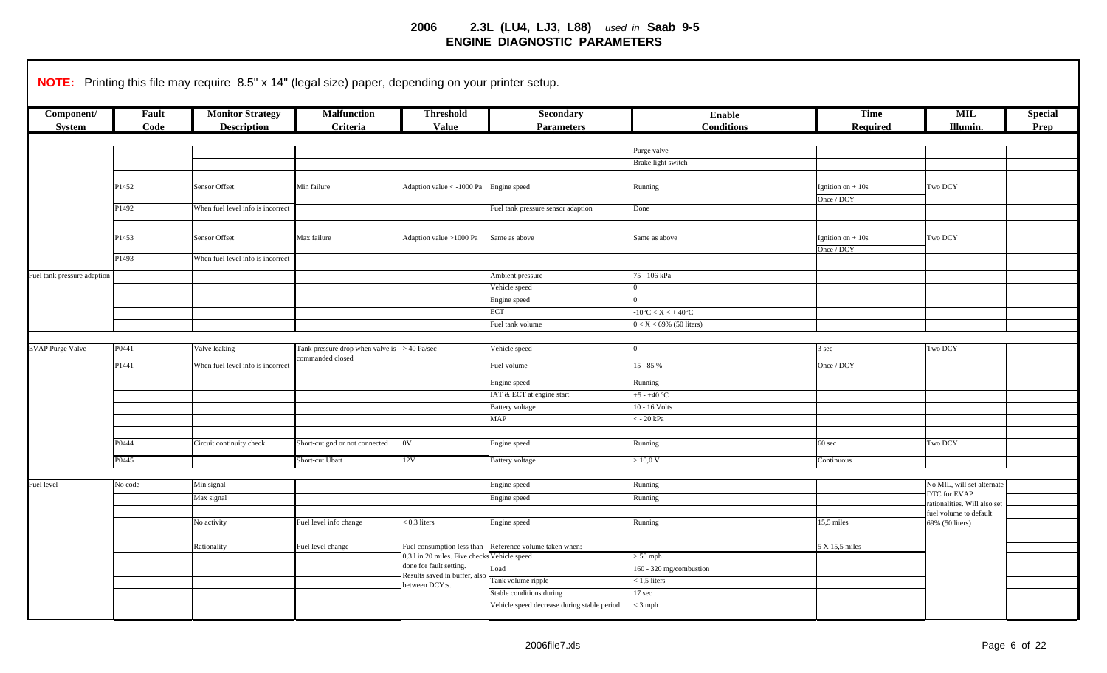|                             |         | NOTE: Printing this file may require 8.5" x 14" (legal size) paper, depending on your printer setup. |                                  |                                                                            |                                             |                                           |                    |                             |                |
|-----------------------------|---------|------------------------------------------------------------------------------------------------------|----------------------------------|----------------------------------------------------------------------------|---------------------------------------------|-------------------------------------------|--------------------|-----------------------------|----------------|
| Component/                  | Fault   | <b>Monitor Strategy</b>                                                                              | <b>Malfunction</b>               | <b>Threshold</b>                                                           | <b>Secondary</b>                            | Enable                                    | <b>Time</b>        | <b>MIL</b>                  | <b>Special</b> |
| <b>System</b>               | Code    | <b>Description</b>                                                                                   | Criteria                         | <b>Value</b>                                                               | <b>Parameters</b>                           | <b>Conditions</b>                         | Required           | Illumin.                    | Prep           |
|                             |         |                                                                                                      |                                  |                                                                            |                                             |                                           |                    |                             |                |
|                             |         |                                                                                                      |                                  |                                                                            |                                             | Purge valve                               |                    |                             |                |
|                             |         |                                                                                                      |                                  |                                                                            |                                             | Brake light switch                        |                    |                             |                |
|                             |         |                                                                                                      |                                  |                                                                            |                                             |                                           |                    |                             |                |
|                             | P1452   | Sensor Offset                                                                                        | Min failure                      | Adaption value < -1000 Pa                                                  | Engine speed                                | Running                                   | Ignition on $+10s$ | Two DCY                     |                |
|                             |         |                                                                                                      |                                  |                                                                            |                                             |                                           | Once / DCY         |                             |                |
|                             | P1492   | When fuel level info is incorrect                                                                    |                                  |                                                                            | Fuel tank pressure sensor adaption          | Done                                      |                    |                             |                |
|                             |         |                                                                                                      |                                  |                                                                            |                                             |                                           |                    |                             |                |
|                             | P1453   | Sensor Offset                                                                                        | Max failure                      | Adaption value >1000 Pa                                                    | Same as above                               | Same as above                             | Ignition on $+10s$ | Two DCY                     |                |
|                             |         |                                                                                                      |                                  |                                                                            |                                             |                                           | Once / DCY         |                             |                |
|                             | P1493   | When fuel level info is incorrect                                                                    |                                  |                                                                            |                                             |                                           |                    |                             |                |
| Fuel tank pressure adaption |         |                                                                                                      |                                  |                                                                            | Ambient pressure                            | 75 - 106 kPa                              |                    |                             |                |
|                             |         |                                                                                                      |                                  |                                                                            | Vehicle speed                               |                                           |                    |                             |                |
|                             |         |                                                                                                      |                                  |                                                                            | Engine speed                                |                                           |                    |                             |                |
|                             |         |                                                                                                      |                                  |                                                                            | ECT                                         | $-10\textdegree C < X < +40\textdegree C$ |                    |                             |                |
|                             |         |                                                                                                      |                                  |                                                                            | Fuel tank volume                            | $0 < X < 69\%$ (50 liters)                |                    |                             |                |
|                             |         |                                                                                                      |                                  |                                                                            |                                             |                                           |                    |                             |                |
| <b>EVAP Purge Valve</b>     | P0441   | Valve leaking                                                                                        | Tank pressure drop when valve is | $>40$ Pa/sec                                                               | Vehicle speed                               | $\Omega$                                  | 3 sec              | Two DCY                     |                |
|                             |         |                                                                                                      | mmanded closed                   |                                                                            |                                             |                                           |                    |                             |                |
|                             | P1441   | When fuel level info is incorrect                                                                    |                                  |                                                                            | Fuel volume                                 | $15 - 85%$                                | Once / DCY         |                             |                |
|                             |         |                                                                                                      |                                  |                                                                            | Engine speed                                | Running                                   |                    |                             |                |
|                             |         |                                                                                                      |                                  |                                                                            | IAT & ECT at engine start                   | $+5 - +40$ °C                             |                    |                             |                |
|                             |         |                                                                                                      |                                  |                                                                            | <b>Battery</b> voltage                      | 10 - 16 Volts                             |                    |                             |                |
|                             |         |                                                                                                      |                                  |                                                                            | <b>MAP</b>                                  | : - 20 kPa                                |                    |                             |                |
|                             |         |                                                                                                      |                                  |                                                                            |                                             |                                           |                    |                             |                |
|                             | P0444   | Circuit continuity check                                                                             | Short-cut gnd or not connected   | 0V                                                                         | Engine speed                                | Running                                   | $60 \text{ sec}$   | Two DCY                     |                |
|                             | P0445   |                                                                                                      | Short-cut Ubatt                  | 12V                                                                        | <b>Battery voltage</b>                      | $\sim 10,0 \text{ V}$                     | Continuous         |                             |                |
|                             |         |                                                                                                      |                                  |                                                                            |                                             |                                           |                    |                             |                |
| Fuel level                  | No code | Min signal                                                                                           |                                  |                                                                            | Engine speed                                | Running                                   |                    | No MIL, will set alternate  |                |
|                             |         |                                                                                                      |                                  |                                                                            |                                             |                                           |                    | DTC for EVAP                |                |
|                             |         | Max signal                                                                                           |                                  |                                                                            | Engine speed                                | Running                                   |                    | ationalities. Will also set |                |
|                             |         |                                                                                                      |                                  |                                                                            |                                             |                                           |                    | fuel volume to default      |                |
|                             |         | No activity                                                                                          | Fuel level info change           | $< 0.3$ liters                                                             | Engine speed                                | Running                                   | 5,5 miles          | 69% (50 liters)             |                |
|                             |         |                                                                                                      |                                  |                                                                            |                                             |                                           |                    |                             |                |
|                             |         | Rationality                                                                                          | Fuel level change                | Fuel consumption less than<br>0,3 l in 20 miles. Five checks Vehicle speed | Reference volume taken when:                | $> 50$ mph                                | 5 X 15,5 miles     |                             |                |
|                             |         |                                                                                                      |                                  | done for fault setting.                                                    | oad                                         | 60 - 320 mg/combustion                    |                    |                             |                |
|                             |         |                                                                                                      |                                  | Results saved in buffer, also                                              | Tank volume ripple                          | $< 1, 5$ liters                           |                    |                             |                |
|                             |         |                                                                                                      |                                  | between DCY:s.                                                             | Stable conditions during                    | 17 sec                                    |                    |                             |                |
|                             |         |                                                                                                      |                                  |                                                                            | Vehicle speed decrease during stable period | $<$ 3 mph                                 |                    |                             |                |
|                             |         |                                                                                                      |                                  |                                                                            |                                             |                                           |                    |                             |                |
|                             |         |                                                                                                      |                                  |                                                                            |                                             |                                           |                    |                             |                |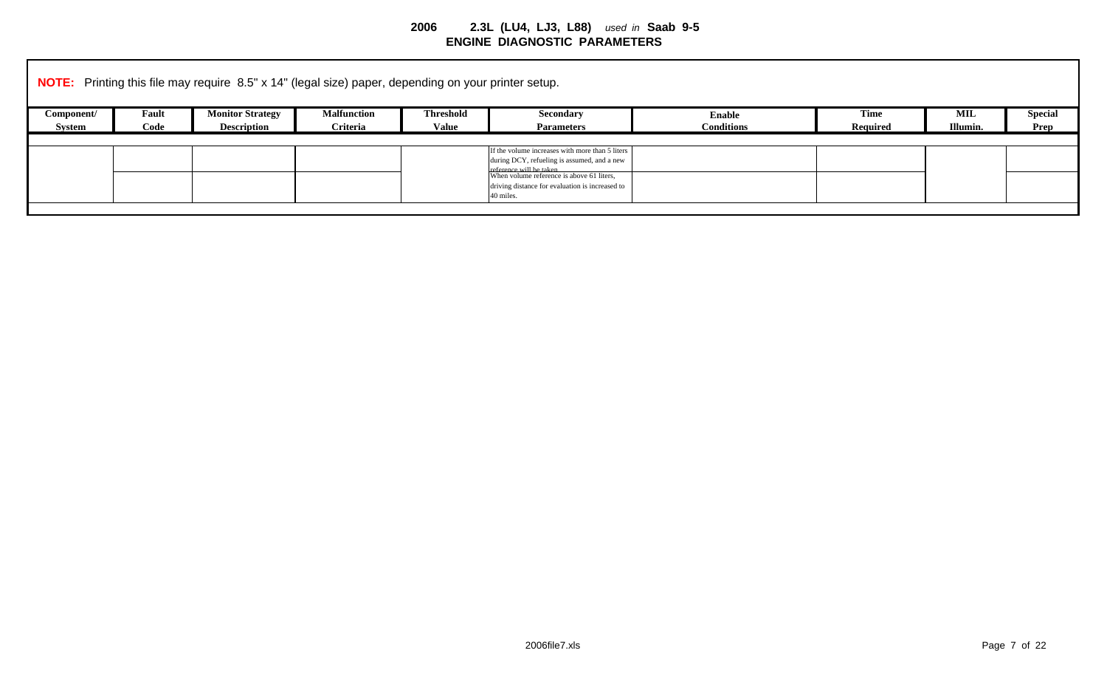|            |       | <b>NOTE:</b> Printing this file may require 8.5" x 14" (legal size) paper, depending on your printer setup. |                    |                  |                                                                                                                                                                                                                                        |                   |                 |            |                |
|------------|-------|-------------------------------------------------------------------------------------------------------------|--------------------|------------------|----------------------------------------------------------------------------------------------------------------------------------------------------------------------------------------------------------------------------------------|-------------------|-----------------|------------|----------------|
| Component/ | Fault | <b>Monitor Strategy</b>                                                                                     | <b>Malfunction</b> | <b>Threshold</b> | <b>Secondary</b>                                                                                                                                                                                                                       | <b>Enable</b>     | <b>Time</b>     | <b>MIL</b> | <b>Special</b> |
| System     | Code  | <b>Description</b>                                                                                          | Criteria           | Value            | <b>Parameters</b>                                                                                                                                                                                                                      | <b>Conditions</b> | <b>Required</b> | Illumin.   | Prep           |
|            |       |                                                                                                             |                    |                  | If the volume increases with more than 5 liters<br>during DCY, refueling is assumed, and a new<br>reference will be taken<br>When volume reference is above 61 liters,<br>driving distance for evaluation is increased to<br>40 miles. |                   |                 |            |                |
|            |       |                                                                                                             |                    |                  |                                                                                                                                                                                                                                        |                   |                 |            |                |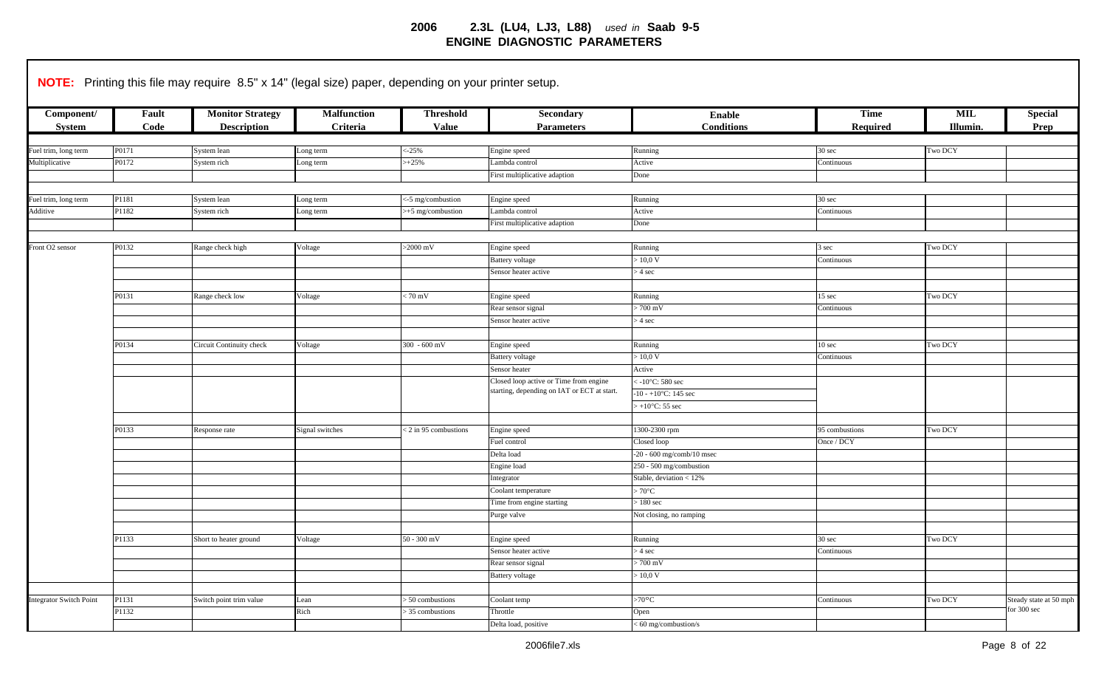|                                |       | NOTE: Printing this file may require 8.5" x 14" (legal size) paper, depending on your printer setup. |                    |                      |                                                                                       |                             |                   |          |                                       |
|--------------------------------|-------|------------------------------------------------------------------------------------------------------|--------------------|----------------------|---------------------------------------------------------------------------------------|-----------------------------|-------------------|----------|---------------------------------------|
|                                |       |                                                                                                      |                    |                      |                                                                                       |                             |                   |          |                                       |
| Component/                     | Fault | <b>Monitor Strategy</b>                                                                              | <b>Malfunction</b> | <b>Threshold</b>     | Secondary                                                                             | <b>Enable</b>               | <b>Time</b>       | MIL      | <b>Special</b>                        |
| <b>System</b>                  | Code  | <b>Description</b>                                                                                   | Criteria           | <b>Value</b>         | <b>Parameters</b>                                                                     | <b>Conditions</b>           | Required          | Illumin. | Prep                                  |
|                                |       |                                                                                                      |                    |                      |                                                                                       |                             |                   |          |                                       |
| Fuel trim, long term           | P0171 | System lean                                                                                          | Long term          | $<-25%$              | Engine speed                                                                          | Running                     | 30 sec            | Two DCY  |                                       |
| Multiplicative                 | P0172 | System rich                                                                                          | ong term           | $+25%$               | Lambda control                                                                        | Active                      | Continuous        |          |                                       |
|                                |       |                                                                                                      |                    |                      | First multiplicative adaption                                                         | Done                        |                   |          |                                       |
|                                |       |                                                                                                      |                    |                      |                                                                                       |                             |                   |          |                                       |
| Fuel trim, long term           | P1181 | System lean                                                                                          | Long term          | <-5 mg/combustion    | Engine speed                                                                          | Running                     | 30 sec            |          |                                       |
| Additive                       | P1182 | System rich                                                                                          | Long term          | >+5 mg/combustion    | Lambda control                                                                        | Active                      | Continuous        |          |                                       |
|                                |       |                                                                                                      |                    |                      | First multiplicative adaption                                                         | Done                        |                   |          |                                       |
|                                |       |                                                                                                      |                    |                      |                                                                                       |                             |                   |          |                                       |
| Front O2 sensor                | P0132 | Range check high                                                                                     | Voltage            | $>2000$ mV           | Engine speed                                                                          | Running                     | 3 sec             | Two DCY  |                                       |
|                                |       |                                                                                                      |                    |                      | <b>Battery</b> voltage                                                                | $-10,0 \text{ V}$           | Continuous        |          |                                       |
|                                |       |                                                                                                      |                    |                      | Sensor heater active                                                                  | $> 4 \text{ sec}$           |                   |          |                                       |
|                                |       |                                                                                                      |                    |                      |                                                                                       |                             |                   |          |                                       |
|                                | P0131 | Range check low                                                                                      | Voltage            | $170 \text{ mV}$     | Engine speed                                                                          | Running                     | 15 sec            | Two DCY  |                                       |
|                                |       |                                                                                                      |                    |                      | Rear sensor signal                                                                    | $.700$ mV                   | Continuous        |          |                                       |
| P0134                          |       |                                                                                                      |                    |                      | Sensor heater active                                                                  | $> 4$ sec                   |                   |          |                                       |
|                                |       |                                                                                                      |                    |                      |                                                                                       |                             |                   |          |                                       |
|                                |       | Circuit Continuity check                                                                             | Voltage            | $300 - 600$ mV       | Engine speed                                                                          | Running                     | $10 \text{ sec}$  | Two DCY  |                                       |
|                                |       |                                                                                                      |                    |                      | <b>Battery</b> voltage                                                                | > 10,0 V                    | Continuous        |          |                                       |
|                                |       |                                                                                                      |                    |                      | Sensor heater                                                                         | Active                      |                   |          |                                       |
|                                |       |                                                                                                      |                    |                      | Closed loop active or Time from engine<br>starting, depending on IAT or ECT at start. | -10 $^{\circ}$ C: 580 sec   |                   |          |                                       |
|                                |       |                                                                                                      |                    |                      |                                                                                       | $10 - +10$ °C: 145 sec      |                   |          |                                       |
|                                |       |                                                                                                      |                    |                      |                                                                                       | $+10$ °C: 55 sec            |                   |          |                                       |
|                                |       |                                                                                                      |                    |                      |                                                                                       |                             |                   |          |                                       |
|                                | P0133 | desponse rate                                                                                        | Signal switches    | <2 in 95 combustions | Engine speed                                                                          | 1300-2300 rpm               | 95 combustions    | Two DCY  |                                       |
|                                |       |                                                                                                      |                    |                      | Fuel control                                                                          | Closed loop                 | Once / DCY        |          |                                       |
|                                |       |                                                                                                      |                    |                      | Delta load                                                                            | $-20 - 600$ mg/comb/10 msec |                   |          |                                       |
|                                |       |                                                                                                      |                    |                      | Engine load                                                                           | 250 - 500 mg/combustion     |                   |          |                                       |
|                                |       |                                                                                                      |                    |                      | Integrator                                                                            | Stable, deviation < 12%     |                   |          |                                       |
|                                |       |                                                                                                      |                    |                      | Coolant temperature                                                                   | $.70^{\circ}$ C             |                   |          |                                       |
|                                |       |                                                                                                      |                    |                      | Time from engine starting                                                             | $-180$ sec                  |                   |          |                                       |
|                                |       |                                                                                                      |                    |                      | Purge valve                                                                           | Not closing, no ramping     |                   |          |                                       |
|                                |       |                                                                                                      |                    |                      |                                                                                       |                             |                   |          |                                       |
|                                | P1133 | Short to heater ground                                                                               | Voltage            | $50 - 300$ mV        | Engine speed                                                                          | Running                     | $30 \text{ sec}$  | Two DCY  |                                       |
|                                |       |                                                                                                      |                    |                      | Sensor heater active                                                                  | $> 4 \text{ sec}$           | Continuous        |          |                                       |
|                                |       |                                                                                                      |                    |                      | Rear sensor signal                                                                    | 700 mV                      |                   |          |                                       |
|                                |       |                                                                                                      |                    |                      | <b>Battery</b> voltage                                                                | $-10,0 \text{ V}$           |                   |          |                                       |
|                                |       |                                                                                                      |                    |                      |                                                                                       |                             |                   |          |                                       |
| <b>Integrator Switch Point</b> | P1131 | Switch point trim value                                                                              | Lean               | > 50 combustions     | Coolant temp                                                                          | >70 °C                      | <b>Continuous</b> | Two DCY  | Steady state at 50 mph<br>for 300 sec |
|                                | P1132 |                                                                                                      | Rich               | > 35 combustions     | Throttle                                                                              | Open                        |                   |          |                                       |
|                                |       |                                                                                                      |                    |                      | Delta load, positive                                                                  | 60 mg/combustion/s          |                   |          |                                       |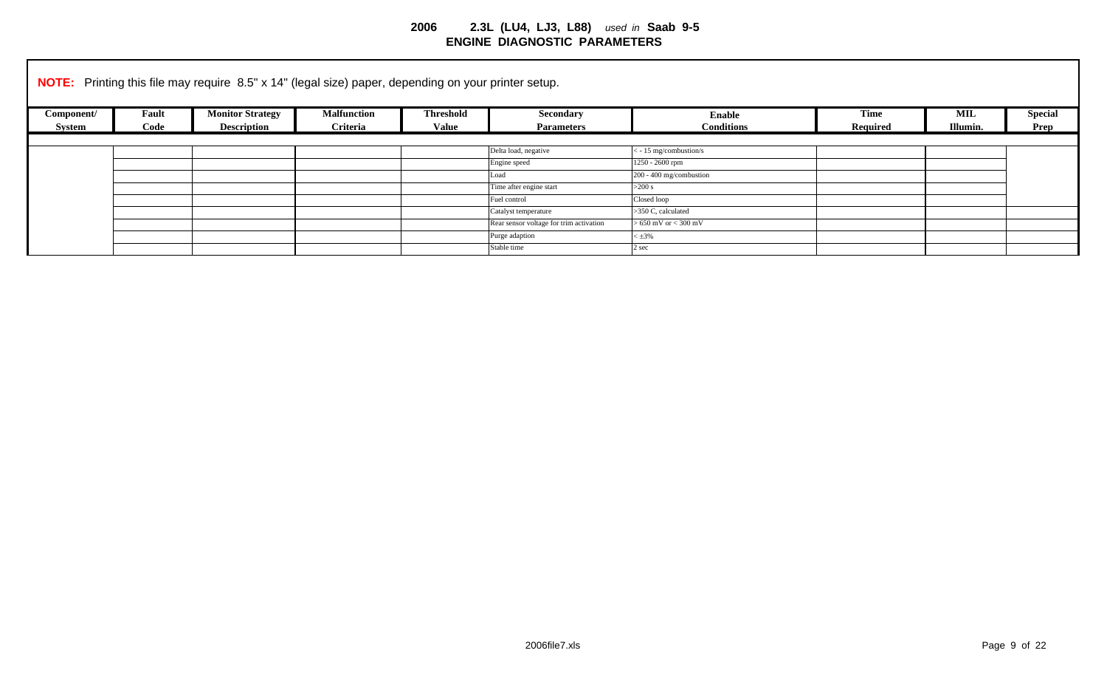|            |       | <b>NOTE:</b> Printing this file may require 8.5" x 14" (legal size) paper, depending on your printer setup. |                    |                  |                                         |                          |             |            |                |
|------------|-------|-------------------------------------------------------------------------------------------------------------|--------------------|------------------|-----------------------------------------|--------------------------|-------------|------------|----------------|
| Component/ | Fault | <b>Monitor Strategy</b>                                                                                     | <b>Malfunction</b> | <b>Threshold</b> | <b>Secondary</b>                        | <b>Enable</b>            | <b>Time</b> | <b>MIL</b> | <b>Special</b> |
| Svstem     | Code  | <b>Description</b>                                                                                          | Criteria           | <b>Value</b>     | <b>Parameters</b>                       | <b>Conditions</b>        | Required    | Illumin.   | Prep           |
|            |       |                                                                                                             |                    |                  |                                         |                          |             |            |                |
|            |       |                                                                                                             |                    |                  | Delta load, negative                    | $<$ - 15 mg/combustion/s |             |            |                |
|            |       |                                                                                                             |                    |                  | Engine speed                            | 1250 - 2600 rpm          |             |            |                |
|            |       |                                                                                                             |                    |                  | Load                                    | 200 - 400 mg/combustion  |             |            |                |
|            |       |                                                                                                             |                    |                  | Time after engine start                 | $>200$ s                 |             |            |                |
|            |       |                                                                                                             |                    |                  | Fuel control                            | Closed loop              |             |            |                |
|            |       |                                                                                                             |                    |                  | Catalyst temperature                    | >350 C, calculated       |             |            |                |
|            |       |                                                                                                             |                    |                  | Rear sensor voltage for trim activation | $> 650$ mV or $< 300$ mV |             |            |                |
|            |       |                                                                                                             |                    |                  | Purge adaption                          | $\times$ ±3%             |             |            |                |
|            |       |                                                                                                             |                    |                  | Stable time                             | 2 sec                    |             |            |                |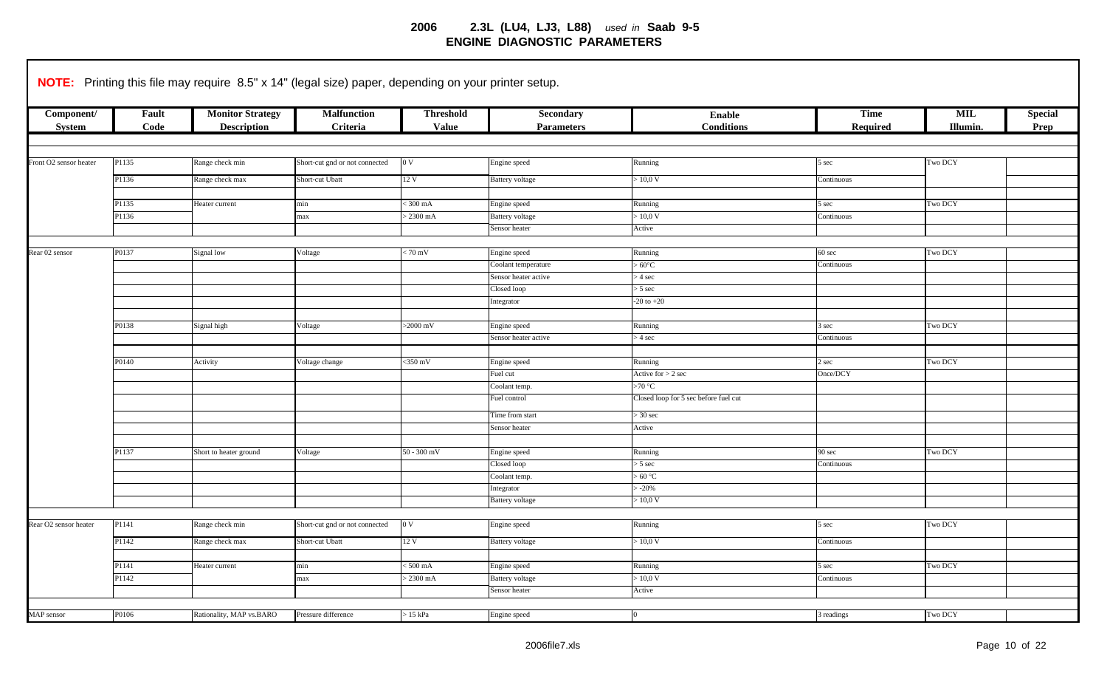|                                   |               | NOTE: Printing this file may require 8.5" x 14" (legal size) paper, depending on your printer setup. |                                |                                  |                                |                                       |                         |                        |                        |
|-----------------------------------|---------------|------------------------------------------------------------------------------------------------------|--------------------------------|----------------------------------|--------------------------------|---------------------------------------|-------------------------|------------------------|------------------------|
| Component/<br>System              | Fault<br>Code | <b>Monitor Strategy</b><br><b>Description</b>                                                        | <b>Malfunction</b><br>Criteria | <b>Threshold</b><br><b>Value</b> | Secondary<br><b>Parameters</b> | <b>Enable</b><br><b>Conditions</b>    | <b>Time</b><br>Required | <b>MIL</b><br>Illumin. | <b>Special</b><br>Prep |
|                                   |               |                                                                                                      |                                |                                  |                                |                                       |                         |                        |                        |
|                                   |               |                                                                                                      |                                |                                  |                                |                                       |                         |                        |                        |
| Front O2 sensor heater            | P1135         | Range check min                                                                                      | Short-cut gnd or not connected | 0V                               | Engine speed                   | Running                               | 5 sec                   | Two DCY                |                        |
|                                   | P1136         | Range check max                                                                                      | Short-cut Ubatt                | 12 V                             | Battery voltage                | $\sim 10,0 \, \text{V}$               | Continuous              |                        |                        |
|                                   |               |                                                                                                      |                                |                                  |                                |                                       |                         |                        |                        |
|                                   | P1135         | Heater current                                                                                       | min                            | $\frac{1}{2}300 \text{ mA}$      | Engine speed                   | Running                               | 5 sec                   | <b>Two DCY</b>         |                        |
|                                   | P1136         |                                                                                                      | max                            | $2300 \text{ mA}$                | Battery voltage                | > 10,0 V                              | Continuous              |                        |                        |
|                                   |               |                                                                                                      |                                |                                  | Sensor heater                  | Active                                |                         |                        |                        |
|                                   |               |                                                                                                      |                                |                                  |                                |                                       |                         |                        |                        |
| Rear 02 sensor                    | P0137         | Signal low                                                                                           | Voltage                        | $\sqrt{70 \text{ mV}}$           | Engine speed                   | Running                               | $60 \text{ sec}$        | Two DCY                |                        |
|                                   |               |                                                                                                      |                                |                                  | Coolant temperature            | $60^{\circ}$ C                        | Continuous              |                        |                        |
|                                   |               |                                                                                                      |                                |                                  | Sensor heater active           | $> 4 \text{ sec}$                     |                         |                        |                        |
|                                   |               |                                                                                                      |                                |                                  | Closed loop                    | $> 5 \text{ sec}$                     |                         |                        |                        |
|                                   |               |                                                                                                      |                                |                                  | Integrator                     | $-20$ to $+20$                        |                         |                        |                        |
|                                   |               |                                                                                                      |                                |                                  |                                |                                       |                         |                        |                        |
|                                   | P0138         | Signal high                                                                                          | Voltage                        | $>2000$ mV                       | Engine speed                   | Running                               | 3 sec                   | Two DCY                |                        |
|                                   |               |                                                                                                      |                                |                                  | Sensor heater active           | $>$ 4 sec                             | Continuous              |                        |                        |
|                                   |               |                                                                                                      |                                |                                  |                                |                                       |                         |                        |                        |
|                                   | P0140         | Activity                                                                                             | Voltage change                 | $<$ 350 mV                       | Engine speed                   | Running                               | 2 sec                   | Two DCY                |                        |
|                                   |               |                                                                                                      |                                |                                  | Fuel cut                       | Active for $> 2$ sec                  | Once/DCY                |                        |                        |
|                                   |               |                                                                                                      |                                |                                  | Coolant temp.                  | $>70$ °C                              |                         |                        |                        |
|                                   |               |                                                                                                      |                                |                                  | Fuel control                   | Closed loop for 5 sec before fuel cut |                         |                        |                        |
|                                   |               |                                                                                                      |                                |                                  |                                |                                       |                         |                        |                        |
|                                   |               |                                                                                                      |                                |                                  | Time from start                | $>$ 30 sec                            |                         |                        |                        |
|                                   |               |                                                                                                      |                                |                                  | Sensor heater                  | Active                                |                         |                        |                        |
|                                   |               |                                                                                                      |                                |                                  |                                |                                       |                         |                        |                        |
|                                   | P1137         | Short to heater ground                                                                               | Voltage                        | $50 - 300$ mV                    | Engine speed                   | Running                               | 90 sec                  | Two DCY                |                        |
|                                   |               |                                                                                                      |                                |                                  | Closed loop                    | $> 5 \text{ sec}$                     | Continuous              |                        |                        |
|                                   |               |                                                                                                      |                                |                                  | Coolant temp.                  | >60 °C                                |                         |                        |                        |
|                                   |               |                                                                                                      |                                |                                  | Integrator                     | $-20%$                                |                         |                        |                        |
|                                   |               |                                                                                                      |                                |                                  | <b>Battery</b> voltage         | $\sim 10,0$ V                         |                         |                        |                        |
|                                   |               |                                                                                                      |                                |                                  |                                |                                       |                         |                        |                        |
| Rear O <sub>2</sub> sensor heater | P1141         | Range check min                                                                                      | Short-cut gnd or not connected | 0V                               | Engine speed                   | Running                               | 5 sec                   | Two DCY                |                        |
|                                   | P1142         | Range check max                                                                                      | Short-cut Ubatt                | 12 V                             | Battery voltage                | > 10,0 V                              | Continuous              |                        |                        |
|                                   |               |                                                                                                      |                                |                                  |                                |                                       |                         |                        |                        |
|                                   | P1141         | Heater current                                                                                       | min                            | $500 \text{ mA}$                 | Engine speed                   | Running                               | 5 sec                   | <b>Two DCY</b>         |                        |
|                                   | P1142         |                                                                                                      | max                            | $> 2300$ mA                      | <b>Battery</b> voltage         | > 10.0 V                              | Continuous              |                        |                        |
|                                   |               |                                                                                                      |                                |                                  | Sensor heater                  | Active                                |                         |                        |                        |
|                                   |               |                                                                                                      |                                |                                  |                                |                                       |                         |                        |                        |
| MAP sensor                        | P0106         | Rationality, MAP vs.BARO                                                                             | Pressure difference            | $>15$ kPa                        | Engine speed                   | $\Omega$                              | 3 readings              | Two DCY                |                        |
|                                   |               |                                                                                                      |                                |                                  |                                |                                       |                         |                        |                        |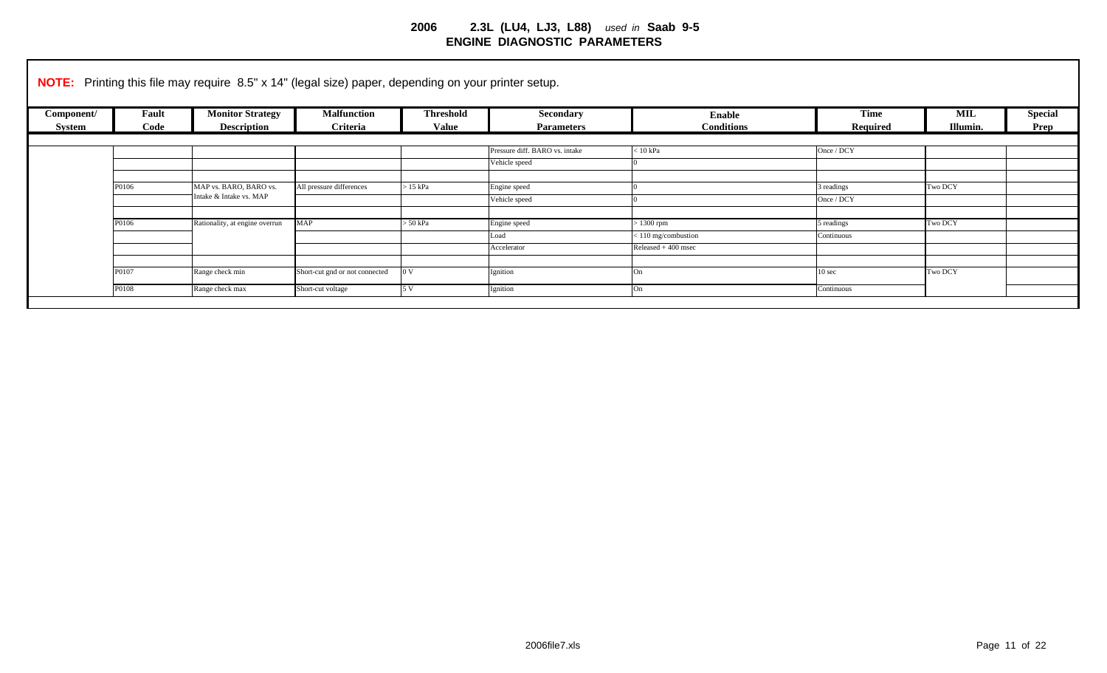|            | <b>NOTE:</b> Printing this file may require 8.5" x 14" (legal size) paper, depending on your printer setup. |                                |                                |                  |                                |                      |                   |            |                |  |
|------------|-------------------------------------------------------------------------------------------------------------|--------------------------------|--------------------------------|------------------|--------------------------------|----------------------|-------------------|------------|----------------|--|
| Component/ | Fault                                                                                                       | <b>Monitor Strategy</b>        | <b>Malfunction</b>             | <b>Threshold</b> | Secondary                      | <b>Enable</b>        | <b>Time</b>       | <b>MIL</b> | <b>Special</b> |  |
| System     | Code                                                                                                        | <b>Description</b>             | Criteria                       | <b>Value</b>     | <b>Parameters</b>              | <b>Conditions</b>    | Required          | Illumin.   | Prep           |  |
|            |                                                                                                             |                                |                                |                  |                                |                      |                   |            |                |  |
|            |                                                                                                             |                                |                                |                  | Pressure diff. BARO vs. intake | $< 10$ kPa           | Once / DCY        |            |                |  |
|            |                                                                                                             |                                |                                |                  | Vehicle speed                  |                      |                   |            |                |  |
|            |                                                                                                             |                                |                                |                  |                                |                      |                   |            |                |  |
|            | P0106                                                                                                       | MAP vs. BARO, BARO vs.         | All pressure differences       | $>15$ kPa        | Engine speed                   |                      | 3 readings        | Two DCY    |                |  |
|            |                                                                                                             | Intake & Intake vs. MAP        |                                |                  | Vehicle speed                  |                      | Once / DCY        |            |                |  |
|            |                                                                                                             |                                |                                |                  |                                |                      |                   |            |                |  |
|            | P0106                                                                                                       | Rationality, at engine overrun | <b>MAP</b>                     | $> 50$ kPa       | Engine speed                   | $>1300$ rpm          | 5 readings        | Two DCY    |                |  |
|            |                                                                                                             |                                |                                |                  | Load                           | <110 mg/combustion   | Continuous        |            |                |  |
|            |                                                                                                             |                                |                                |                  | Accelerator                    | Released $+400$ msec |                   |            |                |  |
|            |                                                                                                             |                                |                                |                  |                                |                      |                   |            |                |  |
|            | P0107                                                                                                       | Range check min                | Short-cut gnd or not connected | 0 <sub>V</sub>   | Ignition                       | On                   | 10 <sub>sec</sub> | Two DCY    |                |  |
|            | P0108                                                                                                       | Range check max                | Short-cut voltage              | 5 V              | Ignition                       | On                   | Continuous        |            |                |  |
|            |                                                                                                             |                                |                                |                  |                                |                      |                   |            |                |  |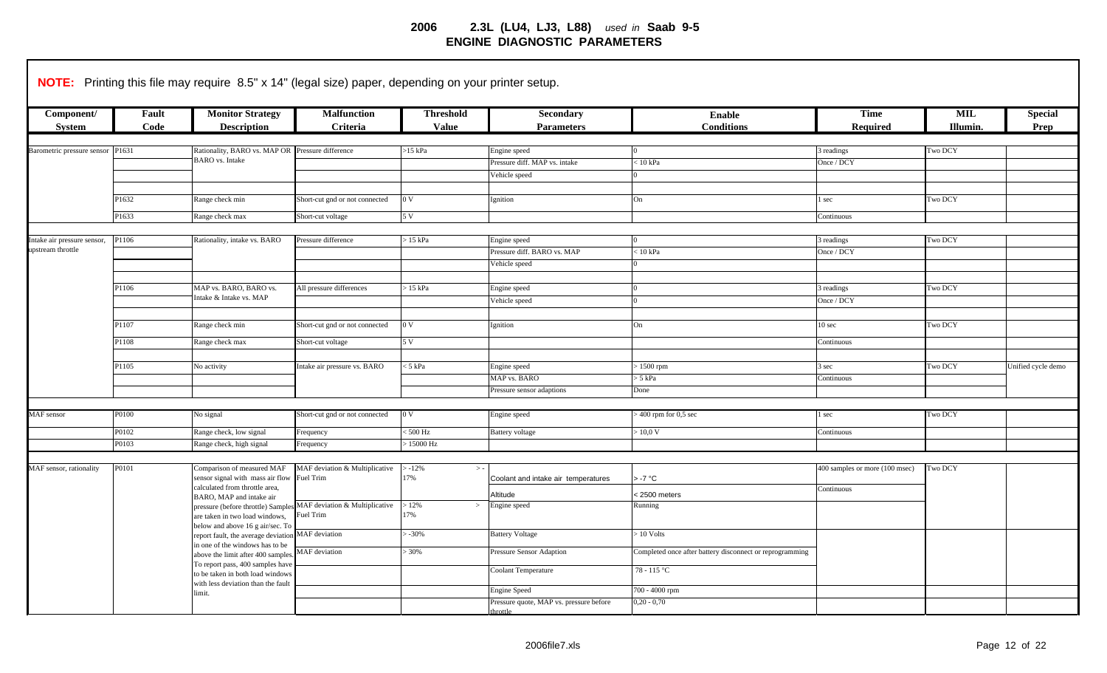|                                                  |                | <b>NOTE:</b> Printing this file may require 8.5" x 14" (legal size) paper, depending on your printer setup.                                      |                                                                               |                                          |                                                                            |                                                                         |                                 |                       |                        |
|--------------------------------------------------|----------------|--------------------------------------------------------------------------------------------------------------------------------------------------|-------------------------------------------------------------------------------|------------------------------------------|----------------------------------------------------------------------------|-------------------------------------------------------------------------|---------------------------------|-----------------------|------------------------|
| Component/<br><b>System</b>                      | Fault<br>Code  | <b>Monitor Strategy</b><br><b>Description</b>                                                                                                    | <b>Malfunction</b><br>Criteria                                                | <b>Threshold</b><br><b>Value</b>         | <b>Secondary</b><br><b>Parameters</b>                                      | <b>Enable</b><br><b>Conditions</b>                                      | <b>Time</b><br>Required         | MIL<br><b>Illumin</b> | <b>Special</b><br>Prep |
| Barometric pressure sensor P1631                 |                | Rationality, BARO vs. MAP OR Pressure difference<br><b>BARO</b> vs. Intake                                                                       |                                                                               | $>15$ kPa                                | Engine speed<br>Pressure diff. MAP vs. intake<br>Vehicle speed             | $< 10$ kPa                                                              | 3 readings<br>Once / DCY        | Two DCY               |                        |
|                                                  | P1632<br>P1633 | Range check min<br>Range check max                                                                                                               | Short-cut gnd or not connected<br>Short-cut voltage                           | 0 <sub>V</sub><br>5 V                    | Ignition                                                                   | On                                                                      | l sec<br>Continuous             | Two DCY               |                        |
| Intake air pressure sensor,<br>upstream throttle | P1106          | Rationality, intake vs. BARO                                                                                                                     | Pressure difference                                                           | $>15$ kPa                                | Engine speed<br>Pressure diff. BARO vs. MAP<br>Vehicle speed               | $< 10$ kPa                                                              | 3 readings<br>Once / DCY        | Two DCY               |                        |
|                                                  | P1106          | MAP vs. BARO, BARO vs.<br>Intake & Intake vs. MAP                                                                                                | All pressure differences                                                      | $>15$ kPa                                | Engine speed<br>Vehicle speed                                              |                                                                         | 3 readings<br>Once / DCY        | Two DCY               |                        |
|                                                  | P1107<br>P1108 | Range check min<br>Range check max                                                                                                               | Short-cut gnd or not connected<br>Short-cut voltage                           | 0 <sub>V</sub><br>5V                     | Ignition                                                                   | On                                                                      | 10 <sub>sec</sub><br>Continuous | Two DCY               |                        |
|                                                  | P1105          | No activity                                                                                                                                      | Intake air pressure vs. BARO                                                  | $<$ 5 kPa                                | Engine speed<br>MAP vs. BARO                                               | $>1500$ rpm<br>$> 5$ kPa                                                | 3 sec<br>Continuous             | Two DCY               | Unified cycle demo     |
|                                                  |                |                                                                                                                                                  |                                                                               |                                          | Pressure sensor adaptions                                                  | Done                                                                    |                                 |                       |                        |
| MAF sensor                                       | P0100<br>P0102 | No signal<br>Range check, low signal                                                                                                             | Short-cut gnd or not connected<br>Frequency                                   | 0 <sub>V</sub><br>$< 500$ Hz             | Engine speed<br><b>Battery</b> voltage                                     | $> 400$ rpm for $0.5$ sec<br>> 10.0 V                                   | 1 sec<br>Continuous             | Two DCY               |                        |
| MAF sensor, rationality                          | P0103<br>P0101 | Range check, high signal<br>Comparison of measured MAF<br>sensor signal with mass air flow                                                       | Frequency<br>MAF deviation & Multiplicative<br>Fuel Trim                      | $>15000$ Hz<br>$> -12\%$<br>$> -$<br>17% | Coolant and intake air temperatures                                        | $>$ -7 $^{\circ}$ C                                                     | 400 samples or more (100 msec)  | Two DCY               |                        |
|                                                  |                | calculated from throttle area,<br>BARO, MAP and intake air                                                                                       | pressure (before throttle) Samples MAF deviation & Multiplicative<br>uel Trim | >12%<br>$\,>$<br>17%                     | Altitude<br>Engine speed                                                   | <2500 meters<br>Running                                                 | Continuous                      |                       |                        |
|                                                  |                | are taken in two load windows,<br>below and above 16 g air/sec. To<br>eport fault, the average deviation<br>in one of the windows has to be      | MAF deviation                                                                 | $-30%$                                   | <b>Battery Voltage</b>                                                     | $> 10$ Volts                                                            |                                 |                       |                        |
|                                                  |                | above the limit after 400 samples.<br>To report pass, 400 samples have<br>to be taken in both load windows<br>with less deviation than the fault | MAF deviation                                                                 | $> 30\%$                                 | Pressure Sensor Adaption<br><b>Coolant Temperature</b>                     | Completed once after battery disconnect or reprogramming<br>78 - 115 °C |                                 |                       |                        |
|                                                  |                | limit.                                                                                                                                           |                                                                               |                                          | <b>Engine Speed</b><br>Pressure quote, MAP vs. pressure before<br>throttle | 700 - 4000 rpm<br>$0,20 - 0,70$                                         |                                 |                       |                        |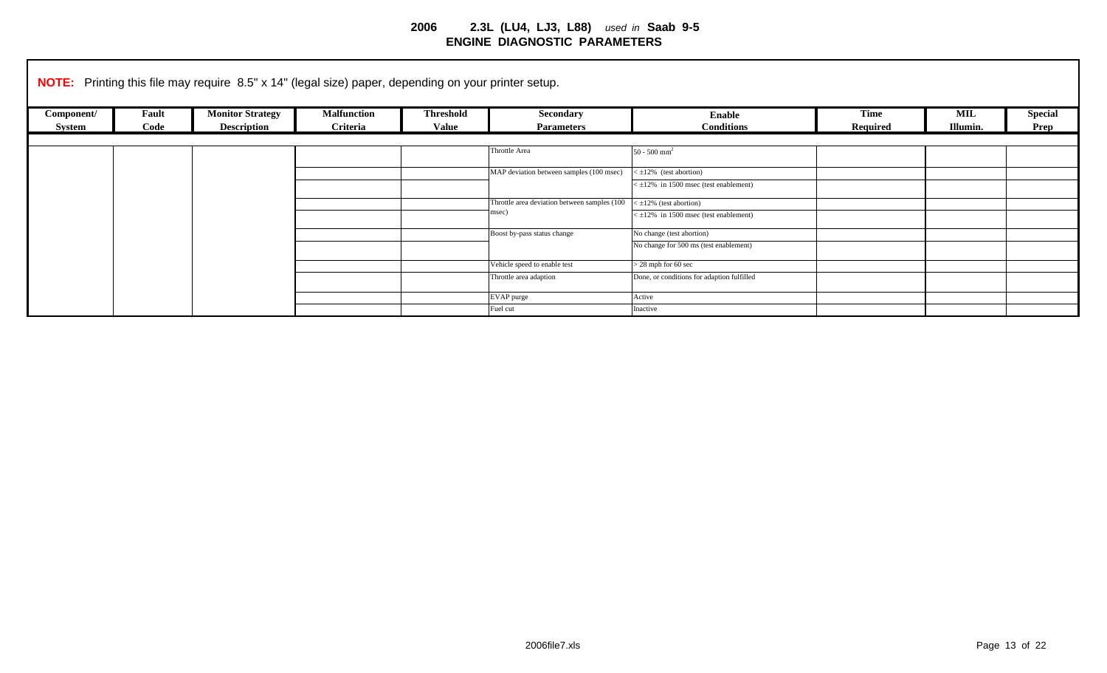|            |       | <b>NOTE:</b> Printing this file may require 8.5" x 14" (legal size) paper, depending on your printer setup. |                    |                  |                                              |                                                |             |            |                |
|------------|-------|-------------------------------------------------------------------------------------------------------------|--------------------|------------------|----------------------------------------------|------------------------------------------------|-------------|------------|----------------|
| Component/ | Fault | <b>Monitor Strategy</b>                                                                                     | <b>Malfunction</b> | <b>Threshold</b> | Secondary                                    | Enable                                         | <b>Time</b> | <b>MIL</b> | <b>Special</b> |
| System     | Code  | <b>Description</b>                                                                                          | Criteria           | <b>Value</b>     | <b>Parameters</b>                            | <b>Conditions</b>                              | Required    | Illumin.   | Prep           |
|            |       |                                                                                                             |                    |                  |                                              |                                                |             |            |                |
|            |       |                                                                                                             |                    |                  | Throttle Area                                | $50 - 500$ mm <sup>2</sup>                     |             |            |                |
|            |       |                                                                                                             |                    |                  | MAP deviation between samples (100 msec)     | $\leq \pm 12\%$ (test abortion)                |             |            |                |
|            |       |                                                                                                             |                    |                  |                                              | $\leq \pm 12\%$ in 1500 msec (test enablement) |             |            |                |
|            |       |                                                                                                             |                    |                  | Throttle area deviation between samples (100 | $\leq \pm 12\%$ (test abortion)                |             |            |                |
|            |       |                                                                                                             |                    |                  | msec)                                        | $\leq \pm 12\%$ in 1500 msec (test enablement) |             |            |                |
|            |       |                                                                                                             |                    |                  | Boost by-pass status change                  | No change (test abortion)                      |             |            |                |
|            |       |                                                                                                             |                    |                  |                                              | No change for 500 ms (test enablement)         |             |            |                |
|            |       |                                                                                                             |                    |                  | Vehicle speed to enable test                 | $>$ 28 mph for 60 sec                          |             |            |                |
|            |       |                                                                                                             |                    |                  | Throttle area adaption                       | Done, or conditions for adaption fulfilled     |             |            |                |
|            |       |                                                                                                             |                    |                  | EVAP purge                                   | Active                                         |             |            |                |
|            |       |                                                                                                             |                    |                  | Fuel cut                                     | Inactive                                       |             |            |                |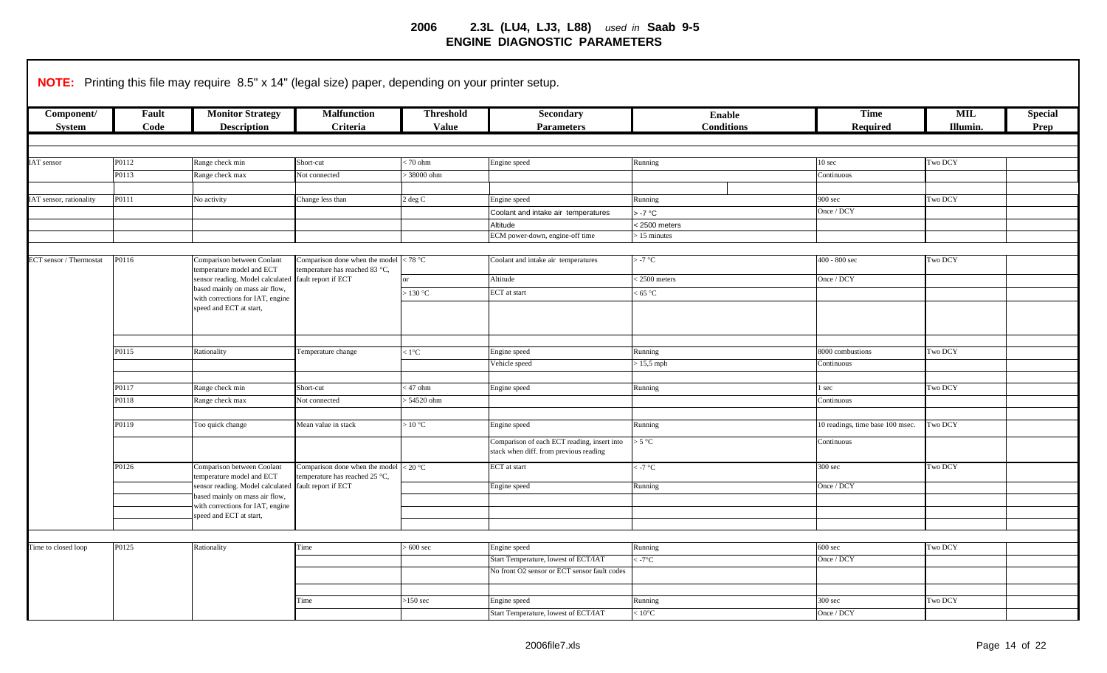|                             |               | <b>NOTE:</b> Printing this file may require 8.5" x 14" (legal size) paper, depending on your printer setup. |                                                      |                                  |                                                                                       |                             |                                  |                        |                        |
|-----------------------------|---------------|-------------------------------------------------------------------------------------------------------------|------------------------------------------------------|----------------------------------|---------------------------------------------------------------------------------------|-----------------------------|----------------------------------|------------------------|------------------------|
| Component/<br><b>System</b> | Fault<br>Code | <b>Monitor Strategy</b><br><b>Description</b>                                                               | <b>Malfunction</b><br>Criteria                       | <b>Threshold</b><br><b>Value</b> | Secondary<br><b>Parameters</b>                                                        | Enable<br><b>Conditions</b> | <b>Time</b><br>Required          | <b>MIL</b><br>Illumin. | <b>Special</b><br>Prep |
|                             |               |                                                                                                             |                                                      |                                  |                                                                                       |                             |                                  |                        |                        |
| IAT sensor                  | P0112         | Range check min                                                                                             | Short-cut                                            | 70 ohm                           | Engine speed                                                                          | Running                     | 10 <sub>sec</sub>                | <b>Two DCY</b>         |                        |
|                             | P0113         | Range check max                                                                                             | Not connected                                        | 38000 ohm                        |                                                                                       |                             | Continuous                       |                        |                        |
|                             |               |                                                                                                             |                                                      |                                  |                                                                                       |                             |                                  |                        |                        |
| IAT sensor, rationality     | P0111         | No activity                                                                                                 | Change less than                                     | 2 deg C                          | Engine speed                                                                          | Running                     | 900 sec                          | Two DCY                |                        |
|                             |               |                                                                                                             |                                                      |                                  | Coolant and intake air temperatures                                                   | > -7 °C                     | Once / DCY                       |                        |                        |
|                             |               |                                                                                                             |                                                      |                                  | Altitude                                                                              | < 2500 meters               |                                  |                        |                        |
|                             |               |                                                                                                             |                                                      |                                  | ECM power-down, engine-off time                                                       | 15 minutes                  |                                  |                        |                        |
|                             |               |                                                                                                             |                                                      |                                  |                                                                                       |                             |                                  |                        |                        |
| ECT sensor / Thermostat     | P0116         | Comparison between Coolant<br>temperature model and ECT                                                     | Comparison done when the model                       | < 78 °C                          | Coolant and intake air temperatures                                                   | $>$ -7 °C                   | 400 - 800 sec                    | Two DCY                |                        |
|                             |               | sensor reading. Model calculated                                                                            | emperature has reached 83 °C,<br>fault report if ECT |                                  | Altitude                                                                              | $< 2500$ meters             | Once / DCY                       |                        |                        |
|                             |               | based mainly on mass air flow,                                                                              |                                                      | $\cdot$ 130 °C                   | ECT at start                                                                          | < 65 °C                     |                                  |                        |                        |
|                             |               | with corrections for IAT, engine                                                                            |                                                      |                                  |                                                                                       |                             |                                  |                        |                        |
|                             |               | speed and ECT at start,                                                                                     |                                                      |                                  |                                                                                       |                             |                                  |                        |                        |
|                             |               |                                                                                                             |                                                      |                                  |                                                                                       |                             |                                  |                        |                        |
|                             |               |                                                                                                             |                                                      |                                  |                                                                                       |                             |                                  |                        |                        |
|                             | P0115         | Rationality                                                                                                 | Temperature change                                   | $< 1$ °C                         | Engine speed                                                                          | Running                     | 8000 combustions                 | Two DCY                |                        |
|                             |               |                                                                                                             |                                                      |                                  | Vehicle speed                                                                         | $\cdot$ 15,5 mph            | Continuous                       |                        |                        |
|                             |               |                                                                                                             |                                                      |                                  |                                                                                       |                             |                                  |                        |                        |
|                             | P0117         | Range check min                                                                                             | Short-cut                                            | 47 ohm                           | Engine speed                                                                          | Running                     | sec                              | Two DCY                |                        |
|                             | P0118         | Range check max                                                                                             | Not connected                                        | > 54520 ohm                      |                                                                                       |                             | Continuous                       |                        |                        |
|                             |               |                                                                                                             |                                                      |                                  |                                                                                       |                             |                                  |                        |                        |
|                             | P0119         | Too quick change                                                                                            | Mean value in stack                                  | >10 °C                           | Engine speed                                                                          | Running                     | 10 readings, time base 100 msec. | <b>Two DCY</b>         |                        |
|                             |               |                                                                                                             |                                                      |                                  | Comparison of each ECT reading, insert into<br>stack when diff. from previous reading | > 5 °C                      | Continuous                       |                        |                        |
|                             | P0126         | Comparison between Coolant                                                                                  | Comparison done when the model                       | < 20 °C                          | ECT at start                                                                          | $<$ -7 °C                   | 300 <sub>sec</sub>               | Two DCY                |                        |
|                             |               | emperature model and ECT                                                                                    | emperature has reached 25 °C,                        |                                  |                                                                                       |                             |                                  |                        |                        |
|                             |               | sensor reading. Model calculated                                                                            | fault report if ECT                                  |                                  | Engine speed                                                                          | Running                     | Once / DCY                       |                        |                        |
|                             |               | based mainly on mass air flow,<br>with corrections for IAT, engine                                          |                                                      |                                  |                                                                                       |                             |                                  |                        |                        |
|                             |               | speed and ECT at start,                                                                                     |                                                      |                                  |                                                                                       |                             |                                  |                        |                        |
|                             |               |                                                                                                             |                                                      |                                  |                                                                                       |                             |                                  |                        |                        |
|                             |               |                                                                                                             |                                                      |                                  |                                                                                       |                             |                                  |                        |                        |
| Time to closed loop         | P0125         | Rationality                                                                                                 | Time                                                 | $600 \text{ sec}$                | Engine speed                                                                          | Running                     | $600$ sec                        | Two DCY                |                        |
|                             |               |                                                                                                             |                                                      |                                  | Start Temperature, lowest of ECT/IAT                                                  | $-7^{\circ}$ C              | Once / DCY                       |                        |                        |
|                             |               |                                                                                                             |                                                      |                                  | No front O2 sensor or ECT sensor fault codes                                          |                             |                                  |                        |                        |
|                             |               |                                                                                                             |                                                      |                                  |                                                                                       |                             |                                  |                        |                        |
|                             |               |                                                                                                             | Time                                                 | $>150$ sec                       | Engine speed                                                                          | Running                     | 300 <sub>sec</sub>               | <b>Two DCY</b>         |                        |
|                             |               |                                                                                                             |                                                      |                                  | Start Temperature, lowest of ECT/IAT                                                  | $10^{\circ}$ C              | Once / DCY                       |                        |                        |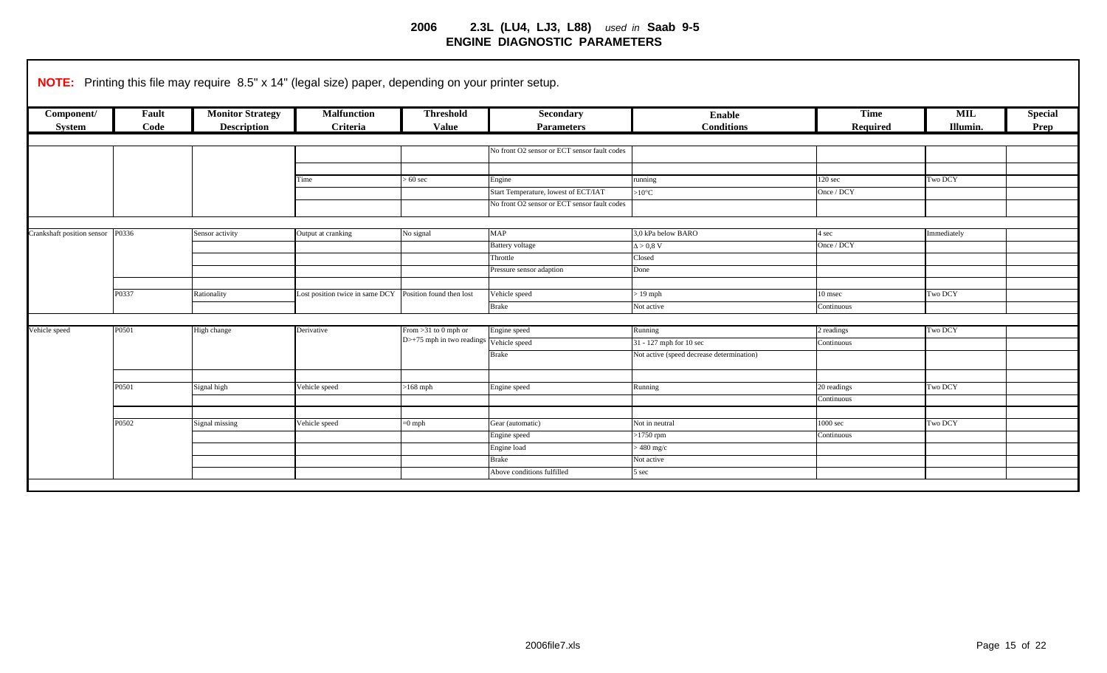|                                  |       | <b>NOTE:</b> Printing this file may require 8.5" x 14" (legal size) paper, depending on your printer setup. |                                                          |                                                                  |                                              |                                           |                     |             |                |
|----------------------------------|-------|-------------------------------------------------------------------------------------------------------------|----------------------------------------------------------|------------------------------------------------------------------|----------------------------------------------|-------------------------------------------|---------------------|-------------|----------------|
| Component/                       | Fault | <b>Monitor Strategy</b>                                                                                     | <b>Malfunction</b>                                       | <b>Threshold</b>                                                 | <b>Secondary</b>                             | Enable                                    | <b>Time</b>         | <b>MIL</b>  | <b>Special</b> |
| System                           | Code  | <b>Description</b>                                                                                          | Criteria                                                 | <b>Value</b>                                                     | <b>Parameters</b>                            | <b>Conditions</b>                         | Required            | Illumin.    | Prep           |
|                                  |       |                                                                                                             |                                                          |                                                                  |                                              |                                           |                     |             |                |
|                                  |       |                                                                                                             |                                                          |                                                                  | No front O2 sensor or ECT sensor fault codes |                                           |                     |             |                |
|                                  |       |                                                                                                             |                                                          |                                                                  |                                              |                                           |                     |             |                |
|                                  |       |                                                                                                             | Time                                                     | $> 60$ sec                                                       | Engine                                       | running                                   | 120 <sub>sec</sub>  | Two DCY     |                |
|                                  |       |                                                                                                             |                                                          |                                                                  | Start Temperature, lowest of ECT/IAT         | $>10^{\circ}$ C                           | Once / DCY          |             |                |
|                                  |       |                                                                                                             |                                                          |                                                                  | No front O2 sensor or ECT sensor fault codes |                                           |                     |             |                |
|                                  |       |                                                                                                             |                                                          |                                                                  |                                              |                                           |                     |             |                |
| Crankshaft position sensor P0336 |       | Sensor activity                                                                                             | Output at cranking                                       | No signal                                                        | MAP                                          | 3,0 kPa below BARO                        | 4 sec               | Immediately |                |
|                                  |       |                                                                                                             |                                                          |                                                                  | <b>Battery</b> voltage                       | $\Delta > 0.8$ V                          | Once / DCY          |             |                |
|                                  |       |                                                                                                             |                                                          |                                                                  | Throttle                                     | Closed                                    |                     |             |                |
|                                  |       |                                                                                                             |                                                          |                                                                  | Pressure sensor adaption                     | Done                                      |                     |             |                |
|                                  |       |                                                                                                             |                                                          |                                                                  |                                              |                                           |                     |             |                |
|                                  | P0337 | Rationality                                                                                                 | Lost position twice in same DCY Position found then lost |                                                                  | Vehicle speed                                | $>19$ mph                                 | 10 msec             | Two DCY     |                |
|                                  |       |                                                                                                             |                                                          |                                                                  | <b>Brake</b>                                 | Not active                                | Continuous          |             |                |
|                                  |       |                                                                                                             |                                                          |                                                                  |                                              |                                           |                     |             |                |
| Vehicle speed                    | P0501 | High change                                                                                                 | Derivative                                               | From $>31$ to 0 mph or                                           | Engine speed                                 | Running                                   | 2 readings          | Two DCY     |                |
|                                  |       |                                                                                                             |                                                          | $D$ > +75 mph in two readings $\sqrt{\frac{1}{2}}$ Vehicle speed |                                              | 31 - 127 mph for 10 sec                   | Continuous          |             |                |
|                                  |       |                                                                                                             |                                                          |                                                                  | <b>Brake</b>                                 | Not active (speed decrease determination) |                     |             |                |
|                                  |       |                                                                                                             |                                                          |                                                                  |                                              |                                           |                     |             |                |
|                                  | P0501 | Signal high                                                                                                 | Vehicle speed                                            | $>168$ mph                                                       | Engine speed                                 | Running                                   | 20 readings         | Two DCY     |                |
|                                  |       |                                                                                                             |                                                          |                                                                  |                                              |                                           | Continuous          |             |                |
|                                  |       |                                                                                                             |                                                          |                                                                  |                                              |                                           |                     |             |                |
|                                  | P0502 | Signal missing                                                                                              | Vehicle speed                                            | $=0$ mph                                                         | Gear (automatic)                             | Not in neutral                            | 1000 <sub>sec</sub> | Two DCY     |                |
|                                  |       |                                                                                                             |                                                          |                                                                  | Engine speed                                 | $>1750$ rpm                               | Continuous          |             |                |
|                                  |       |                                                                                                             |                                                          |                                                                  | Engine load                                  | $>480$ mg/c                               |                     |             |                |
|                                  |       |                                                                                                             |                                                          |                                                                  | <b>Brake</b>                                 | Not active                                |                     |             |                |
|                                  |       |                                                                                                             |                                                          |                                                                  | Above conditions fulfilled                   | 5 sec                                     |                     |             |                |
|                                  |       |                                                                                                             |                                                          |                                                                  |                                              |                                           |                     |             |                |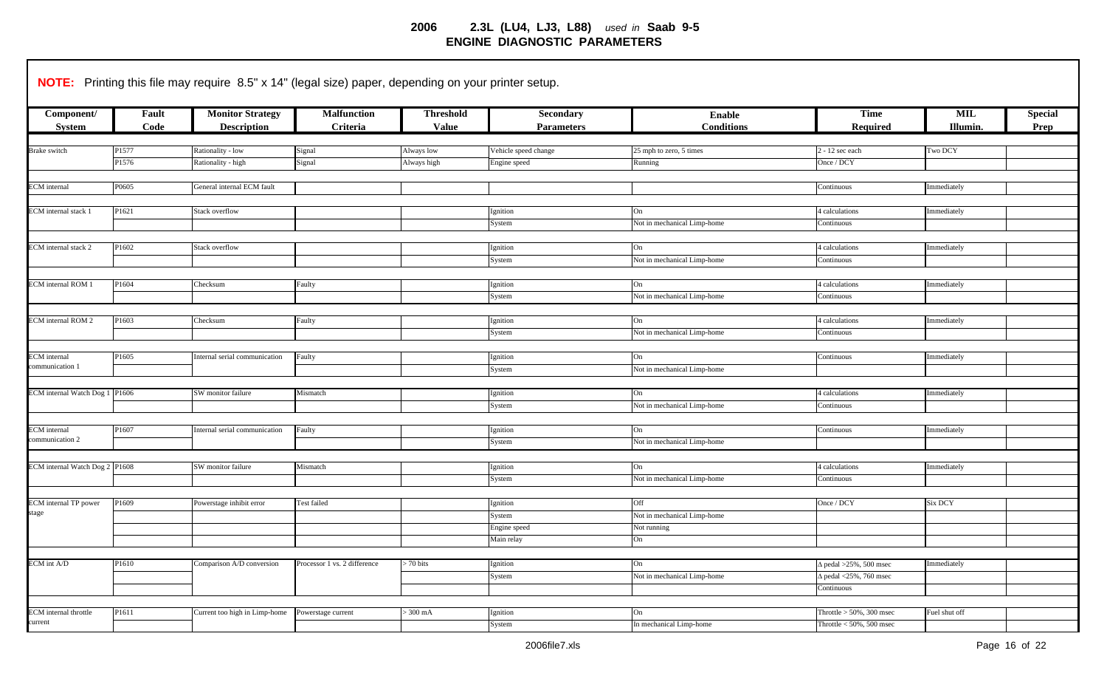| Component/                             | Fault | <b>Monitor Strategy</b>       | <b>Malfunction</b>           | <b>Threshold</b> | Secondary                  | <b>Enable</b>               | Time                          | MIL           | <b>Special</b> |
|----------------------------------------|-------|-------------------------------|------------------------------|------------------|----------------------------|-----------------------------|-------------------------------|---------------|----------------|
| <b>System</b>                          | Code  | <b>Description</b>            | Criteria                     | <b>Value</b>     | <b>Parameters</b>          | <b>Conditions</b>           | <b>Required</b>               | Illumin.      | Prep           |
| Brake switch                           | P1577 | Rationality - low             | Signal                       | Always low       | Vehicle speed change       | 25 mph to zero, 5 times     | 2 - 12 sec each               | Two DCY       |                |
|                                        | P1576 | Rationality - high            | Signal                       | Always high      | Engine speed               | Running                     | Once / DCY                    |               |                |
|                                        |       |                               |                              |                  |                            |                             |                               |               |                |
| <b>ECM</b> internal                    | P0605 | General internal ECM fault    |                              |                  |                            |                             | Continuous                    | Immediately   |                |
|                                        |       |                               |                              |                  |                            |                             |                               |               |                |
| ECM internal stack 1                   | P1621 | Stack overflow                |                              |                  | Ignition                   | On                          | 4 calculations                | Immediately   |                |
|                                        |       |                               |                              |                  | System                     | Not in mechanical Limp-home | Continuous                    |               |                |
|                                        |       |                               |                              |                  |                            |                             |                               |               |                |
| ECM internal stack 2                   | P1602 | Stack overflow                |                              |                  | Ignition                   | On                          | 4 calculations                | Immediately   |                |
|                                        |       |                               |                              |                  | System                     | Not in mechanical Limp-home | Continuous                    |               |                |
| <b>ECM</b> internal ROM 1              | P1604 | Checksum                      | Faulty                       |                  | Ignition                   | On                          | 4 calculations                | Immediately   |                |
|                                        |       |                               |                              |                  | System                     | Not in mechanical Limp-home | Continuous                    |               |                |
|                                        |       |                               |                              |                  |                            |                             |                               |               |                |
| <b>ECM</b> internal ROM 2              | P1603 | Checksum                      | Faulty                       |                  | Ignition                   | On                          | 4 calculations                | Immediately   |                |
|                                        |       |                               |                              |                  | System                     | Not in mechanical Limp-home | Continuous                    |               |                |
|                                        |       |                               |                              |                  |                            |                             |                               |               |                |
| <b>ECM</b> internal<br>communication 1 | P1605 | Internal serial communication | Faulty                       |                  | Ignition                   | On                          | Continuous                    | mmediately    |                |
|                                        |       |                               |                              |                  | System                     | Not in mechanical Limp-home |                               |               |                |
| ECM internal Watch Dog 1 P1606         |       | SW monitor failure            | Mismatch                     |                  | Ignition                   | On                          | 4 calculations                | Immediately   |                |
|                                        |       |                               |                              |                  | System                     | Not in mechanical Limp-home | Continuous                    |               |                |
|                                        |       |                               |                              |                  |                            |                             |                               |               |                |
| <b>ECM</b> internal                    | P1607 | Internal serial communication | Faulty                       |                  | Ignition                   | On                          | Continuous                    | Immediately   |                |
| communication 2                        |       |                               |                              |                  | System                     | Not in mechanical Limp-home |                               |               |                |
|                                        |       |                               |                              |                  |                            |                             |                               |               |                |
| ECM internal Watch Dog 2 P1608         |       | SW monitor failure            | Mismatch                     |                  | Ignition                   | On                          | 4 calculations                | Immediately   |                |
|                                        |       |                               |                              |                  | System                     | Not in mechanical Limp-home | Continuous                    |               |                |
|                                        |       |                               |                              |                  |                            |                             |                               |               |                |
| ECM internal TP power<br>stage         | P1609 | Powerstage inhibit error      | Test failed                  |                  | Ignition                   | Off                         | Once / DCY                    | Six DCY       |                |
|                                        |       |                               |                              |                  | System                     | Not in mechanical Limp-home |                               |               |                |
|                                        |       |                               |                              |                  | Engine speed<br>Main relay | Not running<br>On           |                               |               |                |
|                                        |       |                               |                              |                  |                            |                             |                               |               |                |
| ECM int A/D                            | P1610 | Comparison A/D conversion     | Processor 1 vs. 2 difference | $> 70$ bits      | Ignition                   | On                          | $\Delta$ pedal >25%, 500 msec | mmediately    |                |
|                                        |       |                               |                              |                  | System                     | Not in mechanical Limp-home | $\Delta$ pedal <25%, 760 msec |               |                |
|                                        |       |                               |                              |                  |                            |                             | Continuous                    |               |                |
|                                        |       |                               |                              |                  |                            |                             |                               |               |                |
|                                        |       |                               |                              |                  |                            |                             |                               |               |                |
| <b>ECM</b> internal throttle           | P1611 | Current too high in Limp-home | Powerstage current           | $>300$ mA        | Ignition                   | On                          | Throttle $> 50\%$ , 300 msec  | Fuel shut off |                |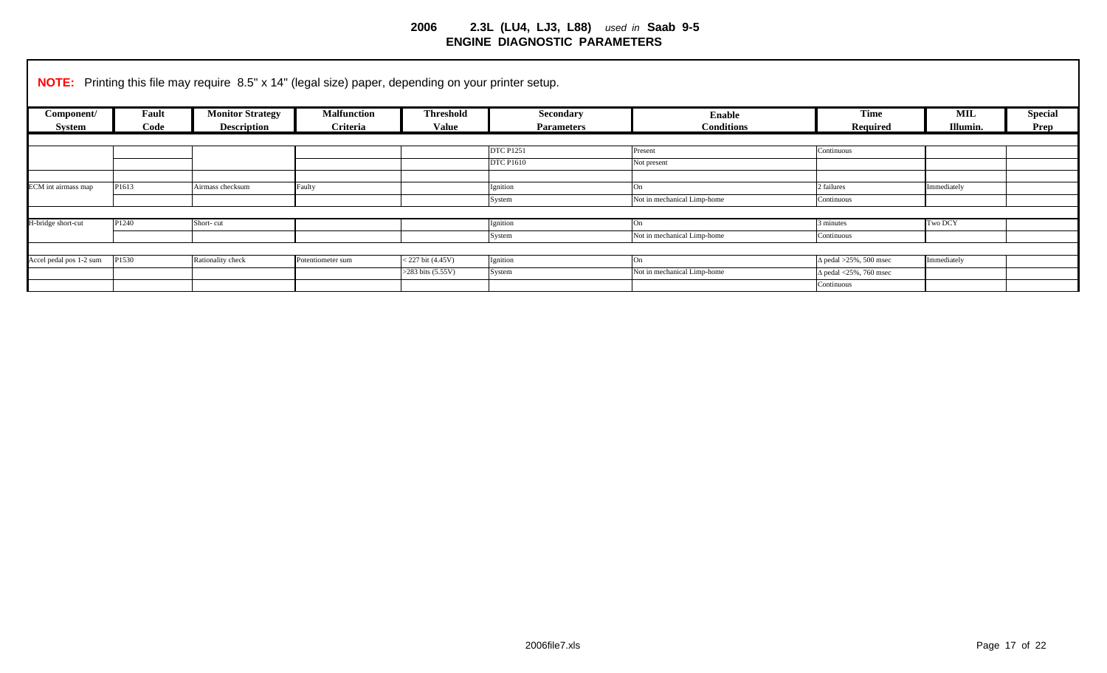|                         |       | <b>NOTE:</b> Printing this file may require 8.5" x 14" (legal size) paper, depending on your printer setup. |                    |                       |                   |                             |                               |             |                |
|-------------------------|-------|-------------------------------------------------------------------------------------------------------------|--------------------|-----------------------|-------------------|-----------------------------|-------------------------------|-------------|----------------|
| Component/              | Fault | <b>Monitor Strategy</b>                                                                                     | <b>Malfunction</b> | <b>Threshold</b>      | Secondary         | Enable                      | <b>Time</b>                   | <b>MIL</b>  | <b>Special</b> |
| System                  | Code  | <b>Description</b>                                                                                          | Criteria           | <b>Value</b>          | <b>Parameters</b> | <b>Conditions</b>           | Required                      | Illumin.    | Prep           |
|                         |       |                                                                                                             |                    |                       |                   |                             |                               |             |                |
|                         |       |                                                                                                             |                    |                       | <b>DTC P1251</b>  | Present                     | Continuous                    |             |                |
|                         |       |                                                                                                             |                    |                       | <b>DTC P1610</b>  | Not present                 |                               |             |                |
|                         |       |                                                                                                             |                    |                       |                   |                             |                               |             |                |
| ECM int airmass map     | P1613 | Airmass checksum                                                                                            | Faulty             |                       | Ignition          | On                          | 2 failures                    | Immediately |                |
|                         |       |                                                                                                             |                    |                       | System            | Not in mechanical Limp-home | Continuous                    |             |                |
|                         |       |                                                                                                             |                    |                       |                   |                             |                               |             |                |
| H-bridge short-cut      | P1240 | Short-cut                                                                                                   |                    |                       | Ignition          | On                          | 3 minutes                     | Two DCY     |                |
|                         |       |                                                                                                             |                    |                       | System            | Not in mechanical Limp-home | Continuous                    |             |                |
|                         |       |                                                                                                             |                    |                       |                   |                             |                               |             |                |
| Accel pedal pos 1-2 sum | P1530 | Rationality check                                                                                           | Potentiometer sum  | $< 227$ bit (4.45V)   | Ignition          | On                          | $\Delta$ pedal >25%, 500 msec | Immediately |                |
|                         |       |                                                                                                             |                    | $>283$ bits $(5.55V)$ | System            | Not in mechanical Limp-home | $\Delta$ pedal <25%, 760 msec |             |                |
|                         |       |                                                                                                             |                    |                       |                   |                             | Continuous                    |             |                |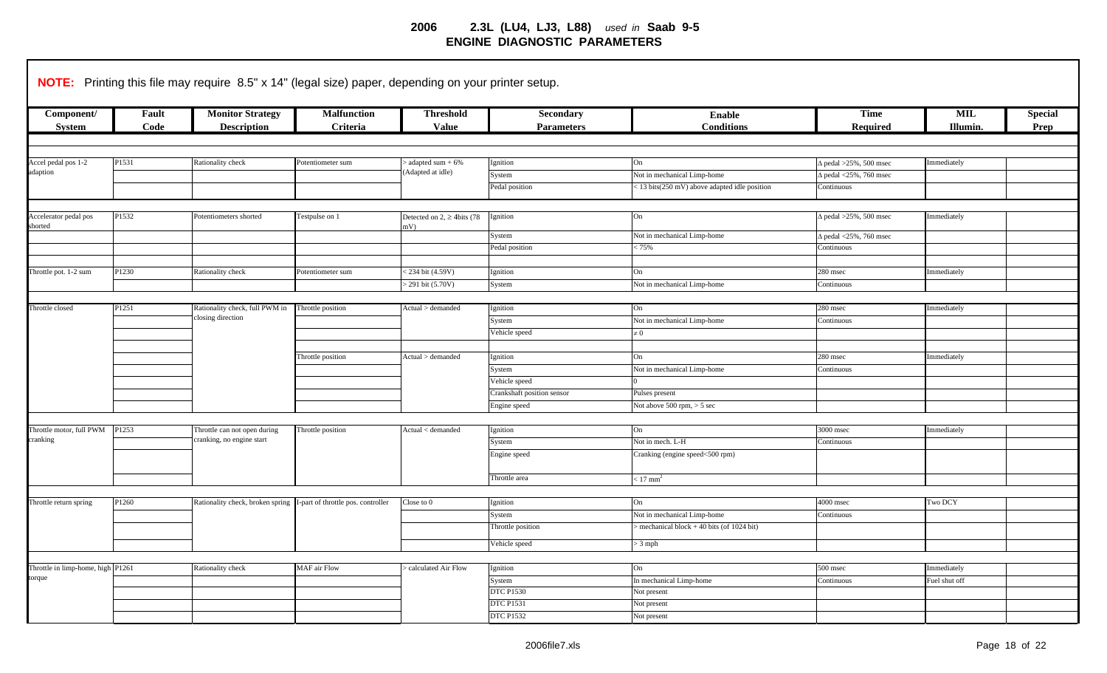|                                   |                   | NOTE: Printing this file may require 8.5" x 14" (legal size) paper, depending on your printer setup. |                                                                       |                                         |                                             |                                                   |                               |                 |                        |
|-----------------------------------|-------------------|------------------------------------------------------------------------------------------------------|-----------------------------------------------------------------------|-----------------------------------------|---------------------------------------------|---------------------------------------------------|-------------------------------|-----------------|------------------------|
| Component/<br><b>System</b>       | Fault<br>Code     | <b>Monitor Strategy</b><br><b>Description</b>                                                        | <b>Malfunction</b><br>Criteria                                        | <b>Threshold</b><br><b>Value</b>        | Secondary<br><b>Parameters</b>              | <b>Enable</b><br><b>Conditions</b>                | <b>Time</b><br>Required       | MIL<br>Illumin. | <b>Special</b><br>Prep |
|                                   |                   |                                                                                                      |                                                                       |                                         |                                             |                                                   |                               |                 |                        |
|                                   | P1531             | Rationality check                                                                                    | Potentiometer sum                                                     | adapted sum $+6\%$                      | Ignition                                    | On                                                | $\Delta$ pedal >25%, 500 msec | Immediately     |                        |
| Accel pedal pos 1-2<br>adaption   |                   |                                                                                                      |                                                                       | Adapted at idle)                        | System                                      | Not in mechanical Limp-home                       | $\Delta$ pedal <25%, 760 msec |                 |                        |
|                                   |                   |                                                                                                      |                                                                       |                                         | Pedal position                              | <13 bits(250 mV) above adapted idle position      | Continuous                    |                 |                        |
|                                   |                   |                                                                                                      |                                                                       |                                         |                                             |                                                   |                               |                 |                        |
| Accelerator pedal pos<br>shorted  | P1532             | Potentiometers shorted                                                                               | Testpulse on 1                                                        | Detected on $2, \geq 4$ bits (78<br>nV) | gnition                                     | On                                                | $\Delta$ pedal >25%, 500 msec | Immediately     |                        |
|                                   |                   |                                                                                                      |                                                                       |                                         | System                                      | Not in mechanical Limp-home                       | $\Delta$ pedal <25%, 760 msec |                 |                        |
|                                   |                   |                                                                                                      |                                                                       |                                         | Pedal position                              | 525%                                              | Continuous                    |                 |                        |
|                                   |                   |                                                                                                      |                                                                       |                                         |                                             |                                                   |                               |                 |                        |
| Throttle pot. 1-2 sum             | P1230             | Rationality check                                                                                    | Potentiometer sum                                                     | 234 bit (4.59V)                         | gnition                                     | On                                                | 280 msec                      | mmediately      |                        |
|                                   |                   |                                                                                                      |                                                                       | 291 bit (5.70V)                         | System                                      | Not in mechanical Limp-home                       | Continuous                    |                 |                        |
|                                   |                   |                                                                                                      |                                                                       |                                         |                                             |                                                   |                               |                 |                        |
| Throttle closed                   | P <sub>1251</sub> | Rationality check, full PWM in<br>closing direction                                                  | Throttle position                                                     | Actual > demanded                       | Ignition                                    | On                                                | 280 msec                      | Immediately     |                        |
|                                   |                   |                                                                                                      |                                                                       |                                         | System                                      | Not in mechanical Limp-home                       | Continuous                    |                 |                        |
|                                   |                   |                                                                                                      |                                                                       |                                         | Vehicle speed                               | $\neq 0$                                          |                               |                 |                        |
|                                   |                   |                                                                                                      |                                                                       |                                         |                                             |                                                   |                               |                 |                        |
|                                   |                   |                                                                                                      | Throttle position                                                     | Actual > demanded                       | Ignition<br>System                          | On<br>Not in mechanical Limp-home                 | 280 msec<br>Continuous        | Immediately     |                        |
|                                   |                   |                                                                                                      |                                                                       |                                         |                                             |                                                   |                               |                 |                        |
|                                   |                   |                                                                                                      |                                                                       |                                         | Vehicle speed<br>Crankshaft position sensor | Pulses present                                    |                               |                 |                        |
|                                   |                   |                                                                                                      |                                                                       |                                         | Engine speed                                | Not above $500$ rpm, $> 5$ sec                    |                               |                 |                        |
|                                   |                   |                                                                                                      |                                                                       |                                         |                                             |                                                   |                               |                 |                        |
| Throttle motor, full PWM          | P1253             | Throttle can not open during                                                                         | Throttle position                                                     | Actual < demanded                       | Ignition                                    | On                                                | $3000$ msec                   | Immediately     |                        |
| cranking                          |                   | cranking, no engine start                                                                            |                                                                       |                                         | System                                      | Not in mech. L-H                                  | Continuous                    |                 |                        |
|                                   |                   |                                                                                                      |                                                                       |                                         | Engine speed                                | Cranking (engine speed<500 rpm)                   |                               |                 |                        |
|                                   |                   |                                                                                                      |                                                                       |                                         | Throttle area                               | $< 17$ mm <sup>2</sup>                            |                               |                 |                        |
|                                   |                   |                                                                                                      |                                                                       |                                         |                                             |                                                   |                               |                 |                        |
| Throttle return spring            | P1260             |                                                                                                      | Rationality check, broken spring   I-part of throttle pos. controller | Close to 0                              | Ignition                                    | On                                                | 4000 msec                     | Two DCY         |                        |
|                                   |                   |                                                                                                      |                                                                       |                                         | System                                      | Not in mechanical Limp-home                       | Continuous                    |                 |                        |
|                                   |                   |                                                                                                      |                                                                       |                                         | Throttle position                           | $\alpha$ mechanical block + 40 bits (of 1024 bit) |                               |                 |                        |
|                                   |                   |                                                                                                      |                                                                       |                                         | Vehicle speed                               | $> 3$ mph                                         |                               |                 |                        |
|                                   |                   |                                                                                                      |                                                                       |                                         |                                             |                                                   |                               |                 |                        |
| Throttle in limp-home, high P1261 |                   | Rationality check                                                                                    | <b>MAF</b> air Flow                                                   | calculated Air Flow                     | Ignition                                    | On                                                | 500 msec                      | Immediately     |                        |
| torque                            |                   |                                                                                                      |                                                                       |                                         | System                                      | In mechanical Limp-home                           | <b>Continuous</b>             | Fuel shut off   |                        |
|                                   |                   |                                                                                                      |                                                                       |                                         | <b>DTC P1530</b>                            | Not present                                       |                               |                 |                        |
|                                   |                   |                                                                                                      |                                                                       |                                         | <b>DTC P1531</b>                            | Not present                                       |                               |                 |                        |
|                                   |                   |                                                                                                      |                                                                       |                                         | <b>DTC P1532</b>                            | Not present                                       |                               |                 |                        |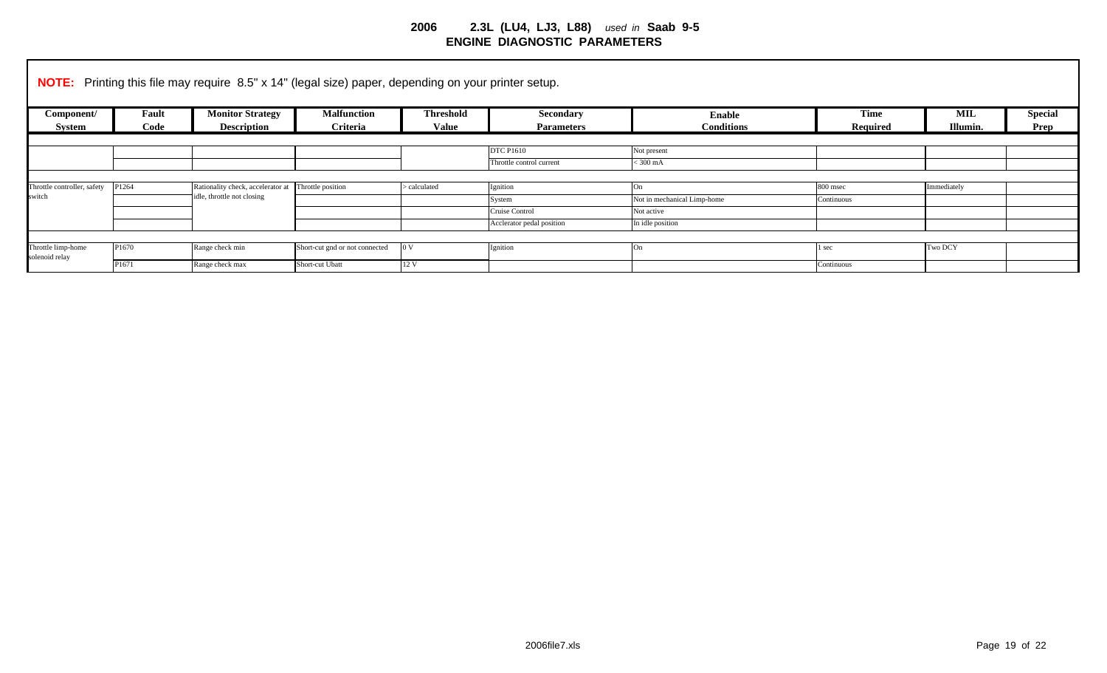|                                      |       | <b>NOTE:</b> Printing this file may require 8.5" x 14" (legal size) paper, depending on your printer setup. |                                |                  |                           |                             |             |                |                |
|--------------------------------------|-------|-------------------------------------------------------------------------------------------------------------|--------------------------------|------------------|---------------------------|-----------------------------|-------------|----------------|----------------|
| Component/                           | Fault | <b>Monitor Strategy</b>                                                                                     | <b>Malfunction</b>             | <b>Threshold</b> | Secondary                 | <b>Enable</b>               | <b>Time</b> | MIL            | <b>Special</b> |
| System                               | Code  | <b>Description</b>                                                                                          | Criteria                       | <b>Value</b>     | <b>Parameters</b>         | <b>Conditions</b>           | Required    | Illumin.       | <b>Prep</b>    |
|                                      |       |                                                                                                             |                                |                  |                           |                             |             |                |                |
|                                      |       |                                                                                                             |                                |                  | <b>DTC P1610</b>          | Not present                 |             |                |                |
|                                      |       |                                                                                                             |                                |                  | Throttle control current  | $<$ 300 mA                  |             |                |                |
|                                      |       |                                                                                                             |                                |                  |                           |                             |             |                |                |
| Throttle controller, safety P1264    |       | Rationality check, accelerator at                                                                           | Throttle position              | > calculated     | Ignition                  | On                          | 800 msec    | Immediately    |                |
| switch                               |       | idle, throttle not closing                                                                                  |                                |                  | System                    | Not in mechanical Limp-home | Continuous  |                |                |
|                                      |       |                                                                                                             |                                |                  | Cruise Control            | Not active                  |             |                |                |
|                                      |       |                                                                                                             |                                |                  | Acclerator pedal position | In idle position            |             |                |                |
|                                      |       |                                                                                                             |                                |                  |                           |                             |             |                |                |
| Throttle limp-home<br>solenoid relay | P1670 | Range check min                                                                                             | Short-cut gnd or not connected | 0 <sub>V</sub>   | Ignition                  | On                          | sec         | <b>Two DCY</b> |                |
|                                      | P1671 | Range check max                                                                                             | Short-cut Ubatt                | 12 V             |                           |                             | Continuous  |                |                |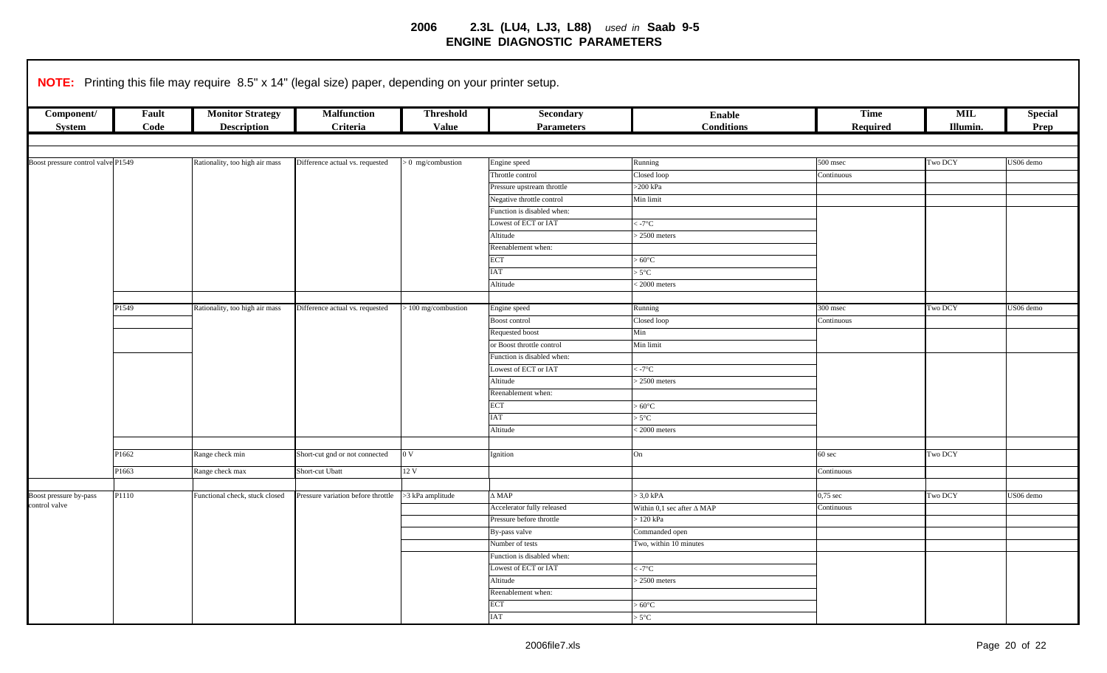|                                    |               |                                               | <b>NOTE:</b> Printing this file may require 8.5" x 14" (legal size) paper, depending on your printer setup. |                                  |                                       |                                   |                         |                 |                        |
|------------------------------------|---------------|-----------------------------------------------|-------------------------------------------------------------------------------------------------------------|----------------------------------|---------------------------------------|-----------------------------------|-------------------------|-----------------|------------------------|
| Component/<br><b>System</b>        | Fault<br>Code | <b>Monitor Strategy</b><br><b>Description</b> | <b>Malfunction</b><br>Criteria                                                                              | <b>Threshold</b><br><b>Value</b> | <b>Secondary</b><br><b>Parameters</b> | Enable<br><b>Conditions</b>       | <b>Time</b><br>Required | MIL<br>Illumin. | <b>Special</b><br>Prep |
|                                    |               |                                               |                                                                                                             |                                  |                                       |                                   |                         |                 |                        |
| Boost pressure control valve P1549 |               | Rationality, too high air mass                | Difference actual vs. requested                                                                             | $> 0$ mg/combustion              | Engine speed                          | Running                           | 500 msec                | Two DCY         | US06 demo              |
|                                    |               |                                               |                                                                                                             |                                  | Throttle control                      | Closed loop                       | Continuous              |                 |                        |
|                                    |               |                                               |                                                                                                             |                                  | Pressure upstream throttle            | $>200$ kPa                        |                         |                 |                        |
|                                    |               |                                               |                                                                                                             |                                  | Negative throttle control             | Min limit                         |                         |                 |                        |
|                                    |               |                                               |                                                                                                             |                                  | Function is disabled when:            |                                   |                         |                 |                        |
|                                    |               |                                               |                                                                                                             |                                  | Lowest of ECT or IAT                  | $-7^{\circ}$ C                    |                         |                 |                        |
|                                    |               |                                               |                                                                                                             |                                  | Altitude                              | $2500$ meters                     |                         |                 |                        |
|                                    |               |                                               |                                                                                                             |                                  | Reenablement when:                    |                                   |                         |                 |                        |
|                                    |               |                                               |                                                                                                             |                                  | ECT                                   | $>60^{\circ}$ C                   |                         |                 |                        |
|                                    |               |                                               |                                                                                                             |                                  | <b>IAT</b>                            | $5^{\circ}$ C                     |                         |                 |                        |
|                                    |               |                                               |                                                                                                             |                                  | Altitude                              | 2000 meters                       |                         |                 |                        |
|                                    |               |                                               |                                                                                                             |                                  |                                       |                                   |                         |                 |                        |
|                                    | P1549         | Rationality, too high air mass                | Difference actual vs. requested                                                                             | > 100 mg/combustion              | Engine speed                          | Running                           | 300 msec                | Two DCY         | US06 demo              |
|                                    |               |                                               |                                                                                                             |                                  | Boost control                         | Closed loop                       | Continuous              |                 |                        |
|                                    |               |                                               |                                                                                                             |                                  | Requested boost                       | Min                               |                         |                 |                        |
|                                    |               |                                               |                                                                                                             |                                  | or Boost throttle control             | Min limit                         |                         |                 |                        |
|                                    |               |                                               |                                                                                                             |                                  | Function is disabled when:            |                                   |                         |                 |                        |
|                                    |               |                                               |                                                                                                             |                                  | Lowest of ECT or IAT                  | $-7^{\circ}$ C                    |                         |                 |                        |
|                                    |               |                                               |                                                                                                             |                                  | Altitude                              | $2500$ meters                     |                         |                 |                        |
|                                    |               |                                               |                                                                                                             |                                  | Reenablement when:                    |                                   |                         |                 |                        |
|                                    |               |                                               |                                                                                                             |                                  | <b>ECT</b>                            | $>60^{\circ}$ C                   |                         |                 |                        |
|                                    |               |                                               |                                                                                                             |                                  | <b>IAT</b>                            | $>5^{\circ}$ C                    |                         |                 |                        |
|                                    |               |                                               |                                                                                                             |                                  | Altitude                              | 2000 meters                       |                         |                 |                        |
|                                    |               |                                               |                                                                                                             |                                  |                                       |                                   |                         |                 |                        |
|                                    | P1662         | Range check min                               | Short-cut gnd or not connected                                                                              | 0 <sub>V</sub>                   | Ignition                              | On                                | 60 sec                  | Two DCY         |                        |
|                                    | P1663         | Range check max                               | Short-cut Ubatt                                                                                             | 12V                              |                                       |                                   | Continuous              |                 |                        |
|                                    |               |                                               |                                                                                                             |                                  |                                       |                                   |                         |                 |                        |
| Boost pressure by-pass             | P1110         | Functional check, stuck closed                | Pressure variation before throttle                                                                          | >3 kPa amplitude                 | $\triangle MAP$                       | $> 3.0$ kPA                       | $0,75 \text{ sec}$      | Two DCY         | US06 demo              |
| control valve                      |               |                                               |                                                                                                             |                                  | Accelerator fully released            | Within 0,1 sec after $\Delta$ MAP | Continuous              |                 |                        |
|                                    |               |                                               |                                                                                                             |                                  | Pressure before throttle              | $>120$ kPa                        |                         |                 |                        |
|                                    |               |                                               |                                                                                                             |                                  | By-pass valve                         | Commanded open                    |                         |                 |                        |
|                                    |               |                                               |                                                                                                             |                                  | Number of tests                       | Two, within 10 minutes            |                         |                 |                        |
|                                    |               |                                               |                                                                                                             |                                  | Function is disabled when:            |                                   |                         |                 |                        |
|                                    |               |                                               |                                                                                                             |                                  | Lowest of ECT or IAT                  | $-7^{\circ}$ C                    |                         |                 |                        |
|                                    |               |                                               |                                                                                                             |                                  | Altitude                              | $2500$ meters                     |                         |                 |                        |
|                                    |               |                                               |                                                                                                             |                                  | Reenablement when:                    |                                   |                         |                 |                        |
|                                    |               |                                               |                                                                                                             |                                  | <b>ECT</b>                            | $>60^{\circ}$ C                   |                         |                 |                        |
|                                    |               |                                               |                                                                                                             |                                  | <b>IAT</b>                            | $>5^{\circ}$ C                    |                         |                 |                        |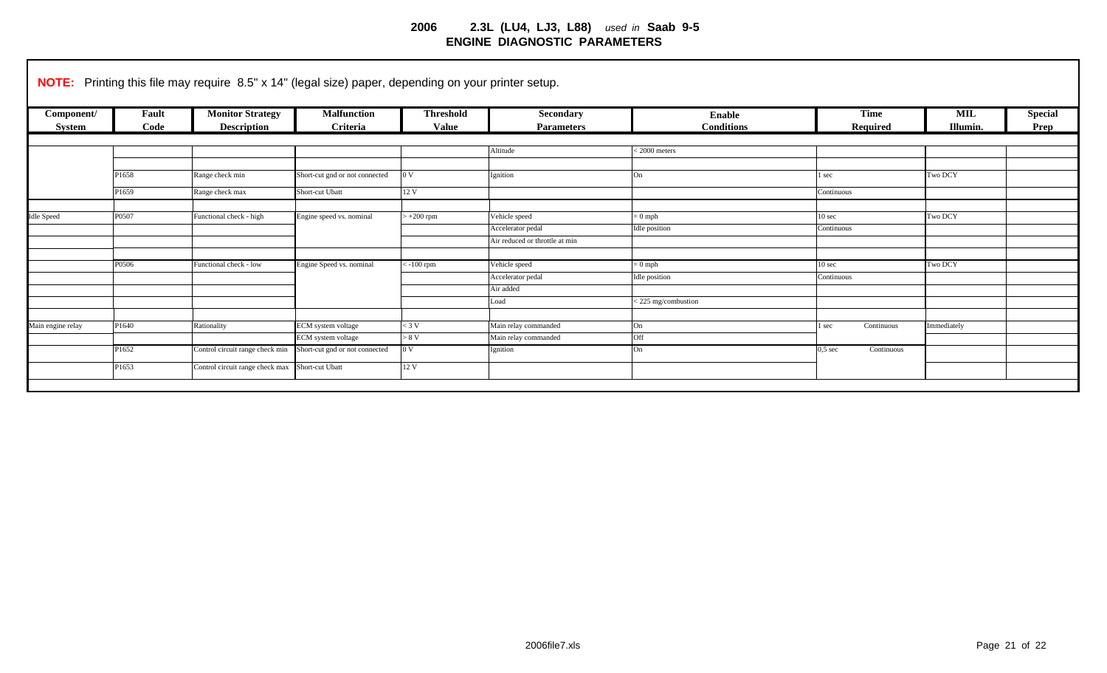| Component/        | Fault | <b>Monitor Strategy</b>         | <b>Malfunction</b>             | <b>Threshold</b> | Secondary                      | <b>Enable</b>      | <b>Time</b>                     | <b>MIL</b>  | <b>Special</b> |
|-------------------|-------|---------------------------------|--------------------------------|------------------|--------------------------------|--------------------|---------------------------------|-------------|----------------|
| System            | Code  | <b>Description</b>              | Criteria                       | <b>Value</b>     | <b>Parameters</b>              | <b>Conditions</b>  | <b>Required</b>                 | Illumin.    | Prep           |
|                   |       |                                 |                                |                  | Altitude                       | $<$ 2000 meters    |                                 |             |                |
|                   |       |                                 |                                |                  |                                |                    |                                 |             |                |
|                   | P1658 | Range check min                 | Short-cut gnd or not connected | 0V               | Ignition                       | On                 | l sec                           | Two DCY     |                |
|                   | P1659 | Range check max                 | Short-cut Ubatt                | 12V              |                                |                    | Continuous                      |             |                |
|                   |       |                                 |                                |                  |                                |                    |                                 |             |                |
| <b>Idle Speed</b> | P0507 | Functional check - high         | Engine speed vs. nominal       | $+200$ rpm       | Vehicle speed                  | $= 0$ mph          | 10 <sub>sec</sub>               | Two DCY     |                |
|                   |       |                                 |                                |                  | Accelerator pedal              | Idle position      | Continuous                      |             |                |
|                   |       |                                 |                                |                  | Air reduced or throttle at min |                    |                                 |             |                |
|                   |       |                                 |                                |                  |                                |                    |                                 |             |                |
|                   | P0506 | Functional check - low          | Engine Speed vs. nominal       | $-100$ rpm       | Vehicle speed                  | $= 0$ mph          | 10 sec                          | Two DCY     |                |
|                   |       |                                 |                                |                  | Accelerator pedal              | Idle position      | Continuous                      |             |                |
|                   |       |                                 |                                |                  | Air added                      |                    |                                 |             |                |
|                   |       |                                 |                                |                  | Load                           | <225 mg/combustion |                                 |             |                |
|                   |       |                                 |                                |                  |                                |                    |                                 |             |                |
| Main engine relay | P1640 | Rationality                     | ECM system voltage             | $<$ 3 V          | Main relay commanded           | On                 | Continuous<br>l sec             | Immediately |                |
|                   |       |                                 | ECM system voltage             | > 8 V            | Main relay commanded           | Off                |                                 |             |                |
|                   | P1652 | Control circuit range check min | Short-cut gnd or not connected | 0 <sub>V</sub>   | Ignition                       | On                 | $0.5 \text{ sec}$<br>Continuous |             |                |
|                   | P1653 | Control circuit range check max | Short-cut Ubatt                | 12 V             |                                |                    |                                 |             |                |